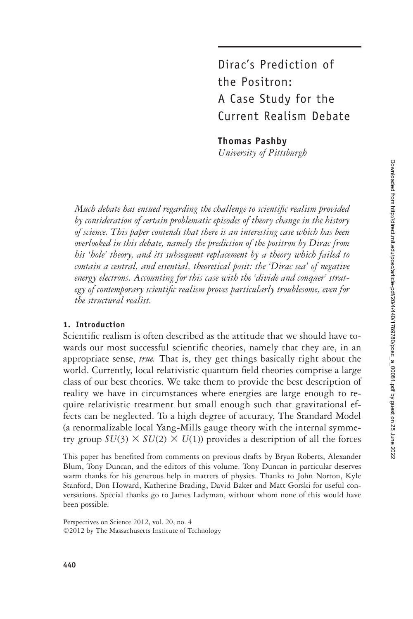**Thomas Pashby** *University of Pittsburgh*

*Much debate has ensued regarding the challenge to scientific realism provided by consideration of certain problematic episodes of theory change in the history of science. This paper contends that there is an interesting case which has been overlooked in this debate, namely the prediction of the positron by Dirac from his 'hole' theory, and its subsequent replacement by a theory which failed to contain a central, and essential, theoretical posit: the 'Dirac sea' of negative energy electrons. Accounting for this case with the 'divide and conquer' strat*egy of contemporary scientific realism proves particularly troublesome, even for *the structural realist.*

## **1. Introduction**

Scientific realism is often described as the attitude that we should have towards our most successful scientific theories, namely that they are, in an appropriate sense, *true.* That is, they get things basically right about the world. Currently, local relativistic quantum field theories comprise a large class of our best theories. We take them to provide the best description of reality we have in circumstances where energies are large enough to require relativistic treatment but small enough such that gravitational effects can be neglected. To a high degree of accuracy, The Standard Model (a renormalizable local Yang-Mills gauge theory with the internal symmetry group  $SU(3) \times SU(2) \times U(1)$ ) provides a description of all the forces

This paper has benefited from comments on previous drafts by Bryan Roberts, Alexander Blum, Tony Duncan, and the editors of this volume. Tony Duncan in particular deserves warm thanks for his generous help in matters of physics. Thanks to John Norton, Kyle Stanford, Don Howard, Katherine Brading, David Baker and Matt Gorski for useful conversations. Special thanks go to James Ladyman, without whom none of this would have been possible.

Perspectives on Science 2012, vol. 20, no. 4 ©2012 by The Massachusetts Institute of Technology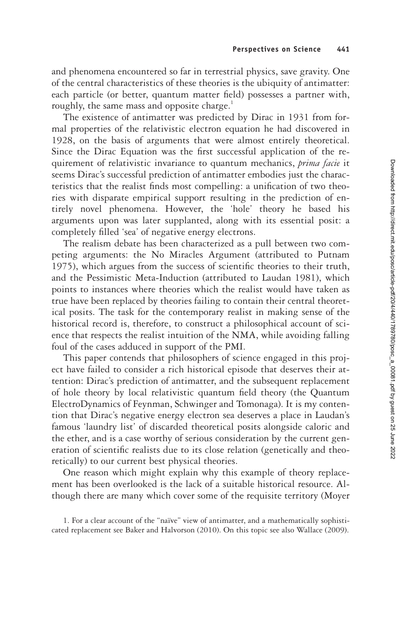and phenomena encountered so far in terrestrial physics, save gravity. One of the central characteristics of these theories is the ubiquity of antimatter: each particle (or better, quantum matter field) possesses a partner with, roughly, the same mass and opposite charge.<sup>1</sup>

The existence of antimatter was predicted by Dirac in 1931 from formal properties of the relativistic electron equation he had discovered in 1928, on the basis of arguments that were almost entirely theoretical. Since the Dirac Equation was the first successful application of the requirement of relativistic invariance to quantum mechanics, *prima facie* it seems Dirac's successful prediction of antimatter embodies just the characteristics that the realist finds most compelling: a unification of two theories with disparate empirical support resulting in the prediction of entirely novel phenomena. However, the 'hole' theory he based his arguments upon was later supplanted, along with its essential posit: a completely filled 'sea' of negative energy electrons.

The realism debate has been characterized as a pull between two competing arguments: the No Miracles Argument (attributed to Putnam 1975), which argues from the success of scientific theories to their truth, and the Pessimistic Meta-Induction (attributed to Laudan 1981), which points to instances where theories which the realist would have taken as true have been replaced by theories failing to contain their central theoretical posits. The task for the contemporary realist in making sense of the historical record is, therefore, to construct a philosophical account of science that respects the realist intuition of the NMA, while avoiding falling foul of the cases adduced in support of the PMI.

This paper contends that philosophers of science engaged in this project have failed to consider a rich historical episode that deserves their attention: Dirac's prediction of antimatter, and the subsequent replacement of hole theory by local relativistic quantum field theory (the Quantum ElectroDynamics of Feynman, Schwinger and Tomonaga). It is my contention that Dirac's negative energy electron sea deserves a place in Laudan's famous 'laundry list' of discarded theoretical posits alongside caloric and the ether, and is a case worthy of serious consideration by the current generation of scientific realists due to its close relation (genetically and theoretically) to our current best physical theories.

One reason which might explain why this example of theory replacement has been overlooked is the lack of a suitable historical resource. Although there are many which cover some of the requisite territory (Moyer

1. For a clear account of the "naïve" view of antimatter, and a mathematically sophisticated replacement see Baker and Halvorson (2010). On this topic see also Wallace (2009).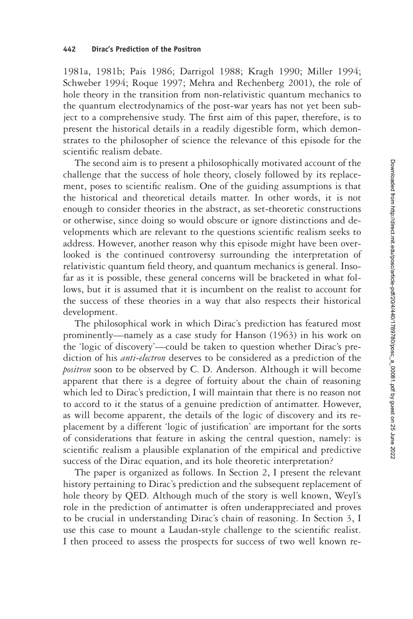1981a, 1981b; Pais 1986; Darrigol 1988; Kragh 1990; Miller 1994; Schweber 1994; Roque 1997; Mehra and Rechenberg 2001), the role of hole theory in the transition from non-relativistic quantum mechanics to the quantum electrodynamics of the post-war years has not yet been subject to a comprehensive study. The first aim of this paper, therefore, is to present the historical details in a readily digestible form, which demonstrates to the philosopher of science the relevance of this episode for the scientific realism debate.

The second aim is to present a philosophically motivated account of the challenge that the success of hole theory, closely followed by its replacement, poses to scientific realism. One of the guiding assumptions is that the historical and theoretical details matter. In other words, it is not enough to consider theories in the abstract, as set-theoretic constructions or otherwise, since doing so would obscure or ignore distinctions and developments which are relevant to the questions scientific realism seeks to address. However, another reason why this episode might have been overlooked is the continued controversy surrounding the interpretation of relativistic quantum field theory, and quantum mechanics is general. Insofar as it is possible, these general concerns will be bracketed in what follows, but it is assumed that it is incumbent on the realist to account for the success of these theories in a way that also respects their historical development.

The philosophical work in which Dirac's prediction has featured most prominently—namely as a case study for Hanson (1963) in his work on the 'logic of discovery'—could be taken to question whether Dirac's prediction of his *anti-electron* deserves to be considered as a prediction of the *positron* soon to be observed by C. D. Anderson. Although it will become apparent that there is a degree of fortuity about the chain of reasoning which led to Dirac's prediction, I will maintain that there is no reason not to accord to it the status of a genuine prediction of antimatter. However, as will become apparent, the details of the logic of discovery and its replacement by a different 'logic of justification' are important for the sorts of considerations that feature in asking the central question, namely: is scientific realism a plausible explanation of the empirical and predictive success of the Dirac equation, and its hole theoretic interpretation?

The paper is organized as follows. In Section 2, I present the relevant history pertaining to Dirac's prediction and the subsequent replacement of hole theory by QED. Although much of the story is well known, Weyl's role in the prediction of antimatter is often underappreciated and proves to be crucial in understanding Dirac's chain of reasoning. In Section 3, I use this case to mount a Laudan-style challenge to the scientific realist. I then proceed to assess the prospects for success of two well known re-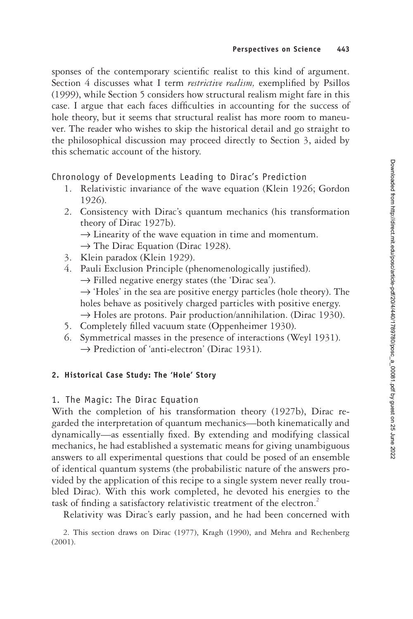sponses of the contemporary scientific realist to this kind of argument. Section 4 discusses what I term *restrictive realism*, exemplified by Psillos (1999), while Section 5 considers how structural realism might fare in this case. I argue that each faces difficulties in accounting for the success of hole theory, but it seems that structural realist has more room to maneuver. The reader who wishes to skip the historical detail and go straight to the philosophical discussion may proceed directly to Section 3, aided by this schematic account of the history.

Chronology of Developments Leading to Dirac's Prediction

- 1. Relativistic invariance of the wave equation (Klein 1926; Gordon 1926).
- 2. Consistency with Dirac's quantum mechanics (his transformation theory of Dirac 1927b).
	- $\rightarrow$  Linearity of the wave equation in time and momentum.
	- $\rightarrow$  The Dirac Equation (Dirac 1928).
- 3. Klein paradox (Klein 1929).
- 4. Pauli Exclusion Principle (phenomenologically justified).  $\rightarrow$  Filled negative energy states (the 'Dirac sea').  $\rightarrow$  'Holes' in the sea are positive energy particles (hole theory). The holes behave as positively charged particles with positive energy.  $\rightarrow$  Holes are protons. Pair production/annihilation. (Dirac 1930).
- 5. Completely filled vacuum state (Oppenheimer 1930).
- 6. Symmetrical masses in the presence of interactions (Weyl 1931).  $\rightarrow$  Prediction of 'anti-electron' (Dirac 1931).

## **2. Historical Case Study: The 'Hole' Story**

# 1. The Magic: The Dirac Equation

With the completion of his transformation theory (1927b), Dirac regarded the interpretation of quantum mechanics—both kinematically and dynamically—as essentially fixed. By extending and modifying classical mechanics, he had established a systematic means for giving unambiguous answers to all experimental questions that could be posed of an ensemble of identical quantum systems (the probabilistic nature of the answers provided by the application of this recipe to a single system never really troubled Dirac). With this work completed, he devoted his energies to the task of finding a satisfactory relativistic treatment of the electron.<sup>2</sup>

Relativity was Dirac's early passion, and he had been concerned with

2. This section draws on Dirac (1977), Kragh (1990), and Mehra and Rechenberg (2001).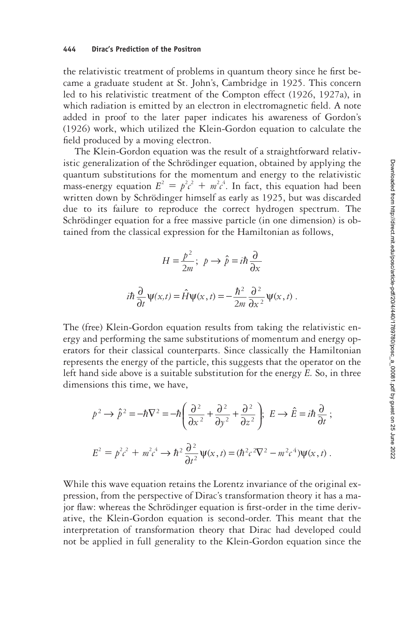#### **444 Dirac's Prediction of the Positron**

the relativistic treatment of problems in quantum theory since he first became a graduate student at St. John's, Cambridge in 1925. This concern led to his relativistic treatment of the Compton effect (1926, 1927a), in which radiation is emitted by an electron in electromagnetic field. A note added in proof to the later paper indicates his awareness of Gordon's (1926) work, which utilized the Klein-Gordon equation to calculate the field produced by a moving electron.

The Klein-Gordon equation was the result of a straightforward relativistic generalization of the Schrödinger equation, obtained by applying the quantum substitutions for the momentum and energy to the relativistic mass-energy equation  $E^2 = p^2c^2 + m^2c^4$ . In fact, this equation had been written down by Schrödinger himself as early as 1925, but was discarded due to its failure to reproduce the correct hydrogen spectrum. The Schrödinger equation for a free massive particle (in one dimension) is obtained from the classical expression for the Hamiltonian as follows,

$$
H = \frac{p^2}{2m}; \ \ p \to \hat{p} = i\hbar \frac{\partial}{\partial x}
$$

$$
i\hbar \frac{\partial}{\partial t} \Psi(x, t) = \hat{H} \Psi(x, t) = -\frac{\hbar^2}{2m} \frac{\partial^2}{\partial x^2} \Psi(x, t) \ .
$$

The (free) Klein-Gordon equation results from taking the relativistic energy and performing the same substitutions of momentum and energy operators for their classical counterparts. Since classically the Hamiltonian represents the energy of the particle, this suggests that the operator on the left hand side above is a suitable substitution for the energy *E.* So, in three dimensions this time, we have,

$$
p^2 \to \hat{p}^2 = -\hbar \nabla^2 = -\hbar \left( \frac{\partial^2}{\partial x^2} + \frac{\partial^2}{\partial y^2} + \frac{\partial^2}{\partial z^2} \right); \quad E \to \hat{E} = i\hbar \frac{\partial}{\partial t};
$$
  

$$
E^2 = p^2 c^2 + m^2 c^4 \to \hbar^2 \frac{\partial^2}{\partial t^2} \Psi(x, t) = (\hbar^2 c^2 \nabla^2 - m^2 c^4) \Psi(x, t).
$$

While this wave equation retains the Lorentz invariance of the original expression, from the perspective of Dirac's transformation theory it has a major flaw: whereas the Schrödinger equation is first-order in the time derivative, the Klein-Gordon equation is second-order. This meant that the interpretation of transformation theory that Dirac had developed could not be applied in full generality to the Klein-Gordon equation since the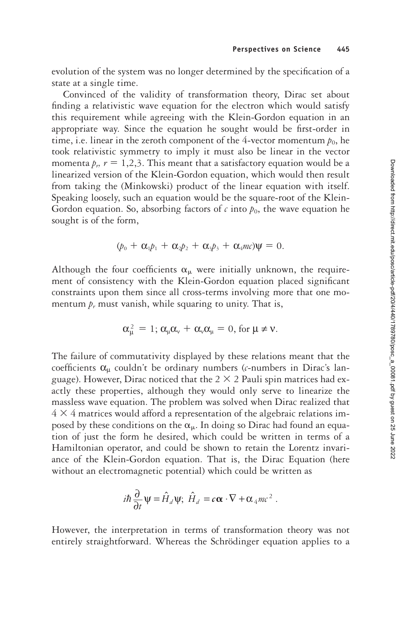evolution of the system was no longer determined by the specification of a state at a single time.

Convinced of the validity of transformation theory, Dirac set about finding a relativistic wave equation for the electron which would satisfy this requirement while agreeing with the Klein-Gordon equation in an appropriate way. Since the equation he sought would be first-order in time, i.e. linear in the zeroth component of the 4-vector momentum  $p_0$ , he took relativistic symmetry to imply it must also be linear in the vector momenta  $p_r$ ,  $r = 1,2,3$ . This meant that a satisfactory equation would be a linearized version of the Klein-Gordon equation, which would then result from taking the (Minkowski) product of the linear equation with itself. Speaking loosely, such an equation would be the square-root of the Klein-Gordon equation. So, absorbing factors of  $c$  into  $p_0$ , the wave equation he sought is of the form,

$$
(\rho_0 + \alpha_1 p_1 + \alpha_2 p_2 + \alpha_3 p_3 + \alpha_4 m c)\psi = 0.
$$

Although the four coefficients  $\alpha_{\mu}$  were initially unknown, the requirement of consistency with the Klein-Gordon equation placed significant constraints upon them since all cross-terms involving more that one momentum  $p_r$  must vanish, while squaring to unity. That is,

$$
\alpha_{\mu}^2 = 1; \alpha_{\mu}\alpha_{\nu} + \alpha_{\nu}\alpha_{\mu} = 0, \text{ for } \mu \neq \nu.
$$

The failure of commutativity displayed by these relations meant that the coefficients  $\alpha_{\mu}$  couldn't be ordinary numbers (*c*-numbers in Dirac's language). However, Dirac noticed that the  $2 \times 2$  Pauli spin matrices had exactly these properties, although they would only serve to linearize the massless wave equation. The problem was solved when Dirac realized that  $4 \times 4$  matrices would afford a representation of the algebraic relations imposed by these conditions on the  $\alpha_{\mu}$ . In doing so Dirac had found an equation of just the form he desired, which could be written in terms of a Hamiltonian operator, and could be shown to retain the Lorentz invariance of the Klein-Gordon equation. That is, the Dirac Equation (here without an electromagnetic potential) which could be written as

$$
i\hbar \frac{\partial}{\partial t} \Psi = \hat{H}_d \Psi; \ \hat{H}_d = c \alpha \cdot \nabla + \alpha_4 m c^2.
$$

However, the interpretation in terms of transformation theory was not entirely straightforward. Whereas the Schrödinger equation applies to a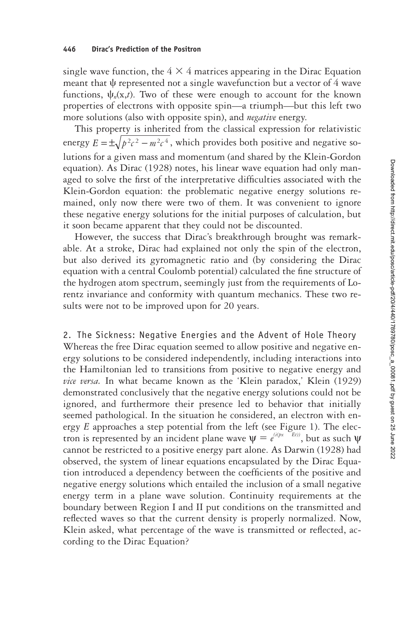single wave function, the  $4 \times 4$  matrices appearing in the Dirac Equation meant that  $\psi$  represented not a single wavefunction but a vector of 4 wave functions,  $\psi_n(x,t)$ . Two of these were enough to account for the known properties of electrons with opposite spin—a triumph—but this left two more solutions (also with opposite spin), and *negative* energy.

This property is inherited from the classical expression for relativistic energy  $E = \pm \sqrt{p^2 c^2 - m^2 c^4}$ , which provides both positive and negative solutions for a given mass and momentum (and shared by the Klein-Gordon equation). As Dirac (1928) notes, his linear wave equation had only managed to solve the first of the interpretative difficulties associated with the Klein-Gordon equation: the problematic negative energy solutions remained, only now there were two of them. It was convenient to ignore these negative energy solutions for the initial purposes of calculation, but it soon became apparent that they could not be discounted.

However, the success that Dirac's breakthrough brought was remarkable. At a stroke, Dirac had explained not only the spin of the electron, but also derived its gyromagnetic ratio and (by considering the Dirac equation with a central Coulomb potential) calculated the fine structure of the hydrogen atom spectrum, seemingly just from the requirements of Lorentz invariance and conformity with quantum mechanics. These two results were not to be improved upon for 20 years.

2. The Sickness: Negative Energies and the Advent of Hole Theory Whereas the free Dirac equation seemed to allow positive and negative energy solutions to be considered independently, including interactions into the Hamiltonian led to transitions from positive to negative energy and *vice versa.* In what became known as the 'Klein paradox,' Klein (1929) demonstrated conclusively that the negative energy solutions could not be ignored, and furthermore their presence led to behavior that initially seemed pathological. In the situation he considered, an electron with energy *E* approaches a step potential from the left (see Figure 1). The electron is represented by an incident plane wave  $\psi = e^{(i(\beta x - E t))}$ , but as such  $\psi$ cannot be restricted to a positive energy part alone. As Darwin (1928) had observed, the system of linear equations encapsulated by the Dirac Equation introduced a dependency between the coefficients of the positive and negative energy solutions which entailed the inclusion of a small negative energy term in a plane wave solution. Continuity requirements at the boundary between Region I and II put conditions on the transmitted and reflected waves so that the current density is properly normalized. Now, Klein asked, what percentage of the wave is transmitted or reflected, according to the Dirac Equation?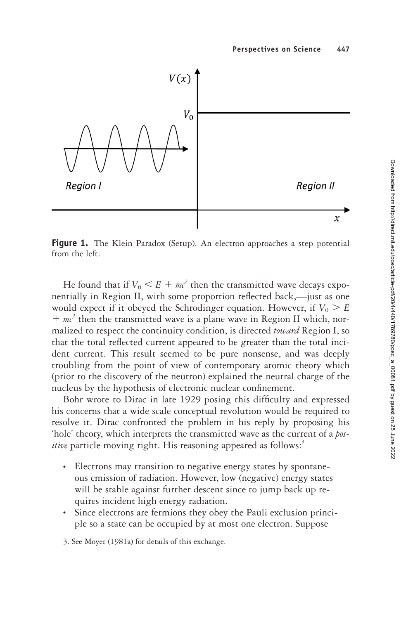

**Figure 1.** The Klein Paradox (Setup). An electron approaches a step potential from the left.

He found that if  $V_0 \leq E + mc^2$  then the transmitted wave decays exponentially in Region II, with some proportion reflected back,—just as one would expect if it obeyed the Schrodinger equation. However, if  $V_0 \geq E$  $+mc^2$  then the transmitted wave is a plane wave in Region II which, normalized to respect the continuity condition, is directed *toward* Region I, so that the total reflected current appeared to be greater than the total incident current. This result seemed to be pure nonsense, and was deeply troubling from the point of view of contemporary atomic theory which (prior to the discovery of the neutron) explained the neutral charge of the nucleus by the hypothesis of electronic nuclear confinement.

Bohr wrote to Dirac in late 1929 posing this difficulty and expressed his concerns that a wide scale conceptual revolution would be required to resolve it. Dirac confronted the problem in his reply by proposing his 'hole' theory, which interprets the transmitted wave as the current of a *positive* particle moving right. His reasoning appeared as follows:<sup>3</sup>

- Electrons may transition to negative energy states by spontaneous emission of radiation. However, low (negative) energy states will be stable against further descent since to jump back up requires incident high energy radiation.
- Since electrons are fermions they obey the Pauli exclusion principle so a state can be occupied by at most one electron. Suppose

3. See Moyer (1981a) for details of this exchange.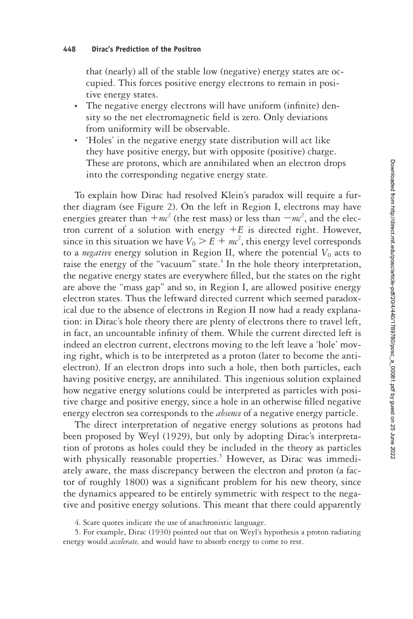#### **448 Dirac's Prediction of the Positron**

that (nearly) all of the stable low (negative) energy states are occupied. This forces positive energy electrons to remain in positive energy states.

- The negative energy electrons will have uniform (infinite) density so the net electromagnetic field is zero. Only deviations from uniformity will be observable.
- 'Holes' in the negative energy state distribution will act like they have positive energy, but with opposite (positive) charge. These are protons, which are annihilated when an electron drops into the corresponding negative energy state.

To explain how Dirac had resolved Klein's paradox will require a further diagram (see Figure 2). On the left in Region I, electrons may have energies greater than  $+m\epsilon^2$  (the rest mass) or less than  $-m\epsilon^2$ , and the electron current of a solution with energy  $+E$  is directed right. However, since in this situation we have  $V_0 \geq E + mc^2$ , this energy level corresponds to a *negative* energy solution in Region II, where the potential  $V_0$  acts to raise the energy of the "vacuum" state.<sup>4</sup> In the hole theory interpretation, the negative energy states are everywhere filled, but the states on the right are above the "mass gap" and so, in Region I, are allowed positive energy electron states. Thus the leftward directed current which seemed paradoxical due to the absence of electrons in Region II now had a ready explanation: in Dirac's hole theory there are plenty of electrons there to travel left, in fact, an uncountable infinity of them. While the current directed left is indeed an electron current, electrons moving to the left leave a 'hole' moving right, which is to be interpreted as a proton (later to become the antielectron). If an electron drops into such a hole, then both particles, each having positive energy, are annihilated. This ingenious solution explained how negative energy solutions could be interpreted as particles with positive charge and positive energy, since a hole in an otherwise filled negative energy electron sea corresponds to the *absence* of a negative energy particle.

The direct interpretation of negative energy solutions as protons had been proposed by Weyl (1929), but only by adopting Dirac's interpretation of protons as holes could they be included in the theory as particles with physically reasonable properties.<sup>5</sup> However, as Dirac was immediately aware, the mass discrepancy between the electron and proton (a factor of roughly 1800) was a significant problem for his new theory, since the dynamics appeared to be entirely symmetric with respect to the negative and positive energy solutions. This meant that there could apparently

4. Scare quotes indicate the use of anachronistic language.

5. For example, Dirac (1930) pointed out that on Weyl's hypothesis a proton radiating energy would *accelerate,* and would have to absorb energy to come to rest.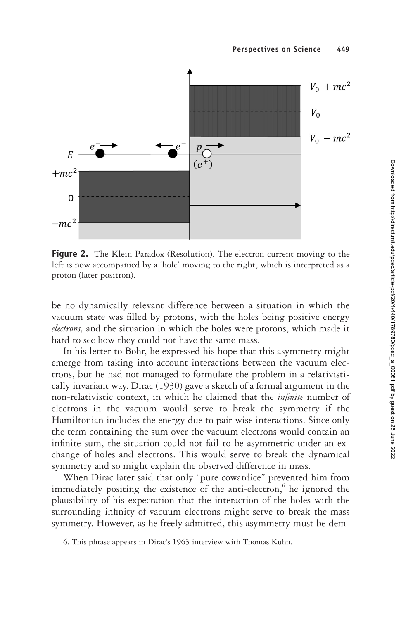

**Figure 2.** The Klein Paradox (Resolution). The electron current moving to the left is now accompanied by a 'hole' moving to the right, which is interpreted as a proton (later positron).

be no dynamically relevant difference between a situation in which the vacuum state was filled by protons, with the holes being positive energy *electrons,* and the situation in which the holes were protons, which made it hard to see how they could not have the same mass.

In his letter to Bohr, he expressed his hope that this asymmetry might emerge from taking into account interactions between the vacuum electrons, but he had not managed to formulate the problem in a relativistically invariant way. Dirac (1930) gave a sketch of a formal argument in the non-relativistic context, in which he claimed that the *infinite* number of electrons in the vacuum would serve to break the symmetry if the Hamiltonian includes the energy due to pair-wise interactions. Since only the term containing the sum over the vacuum electrons would contain an infinite sum, the situation could not fail to be asymmetric under an exchange of holes and electrons. This would serve to break the dynamical symmetry and so might explain the observed difference in mass.

When Dirac later said that only "pure cowardice" prevented him from immediately positing the existence of the anti-electron, $6$  he ignored the plausibility of his expectation that the interaction of the holes with the surrounding infinity of vacuum electrons might serve to break the mass symmetry. However, as he freely admitted, this asymmetry must be dem-

<sup>6.</sup> This phrase appears in Dirac's 1963 interview with Thomas Kuhn.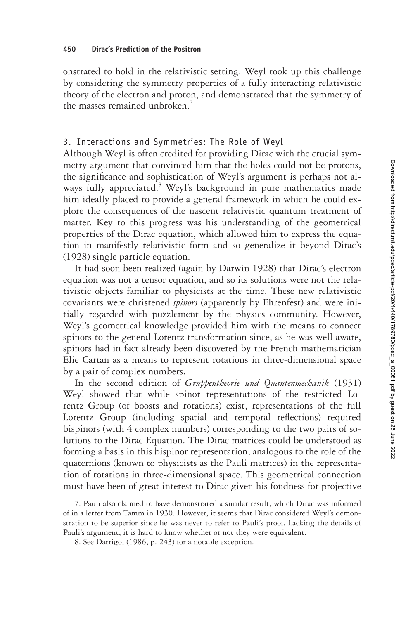onstrated to hold in the relativistic setting. Weyl took up this challenge by considering the symmetry properties of a fully interacting relativistic theory of the electron and proton, and demonstrated that the symmetry of the masses remained unbroken.<sup>7</sup>

## 3. Interactions and Symmetries: The Role of Weyl

Although Weyl is often credited for providing Dirac with the crucial symmetry argument that convinced him that the holes could not be protons, the significance and sophistication of Weyl's argument is perhaps not always fully appreciated.<sup>8</sup> Weyl's background in pure mathematics made him ideally placed to provide a general framework in which he could explore the consequences of the nascent relativistic quantum treatment of matter. Key to this progress was his understanding of the geometrical properties of the Dirac equation, which allowed him to express the equation in manifestly relativistic form and so generalize it beyond Dirac's (1928) single particle equation.

It had soon been realized (again by Darwin 1928) that Dirac's electron equation was not a tensor equation, and so its solutions were not the relativistic objects familiar to physicists at the time. These new relativistic covariants were christened *spinors* (apparently by Ehrenfest) and were initially regarded with puzzlement by the physics community. However, Weyl's geometrical knowledge provided him with the means to connect spinors to the general Lorentz transformation since, as he was well aware, spinors had in fact already been discovered by the French mathematician Elie Cartan as a means to represent rotations in three-dimensional space by a pair of complex numbers.

In the second edition of *Gruppentheorie und Quantenmechanik* (1931) Weyl showed that while spinor representations of the restricted Lorentz Group (of boosts and rotations) exist, representations of the full Lorentz Group (including spatial and temporal reflections) required bispinors (with 4 complex numbers) corresponding to the two pairs of solutions to the Dirac Equation. The Dirac matrices could be understood as forming a basis in this bispinor representation, analogous to the role of the quaternions (known to physicists as the Pauli matrices) in the representation of rotations in three-dimensional space. This geometrical connection must have been of great interest to Dirac given his fondness for projective

<sup>7.</sup> Pauli also claimed to have demonstrated a similar result, which Dirac was informed of in a letter from Tamm in 1930. However, it seems that Dirac considered Weyl's demonstration to be superior since he was never to refer to Pauli's proof. Lacking the details of Pauli's argument, it is hard to know whether or not they were equivalent.

<sup>8.</sup> See Darrigol (1986, p. 243) for a notable exception.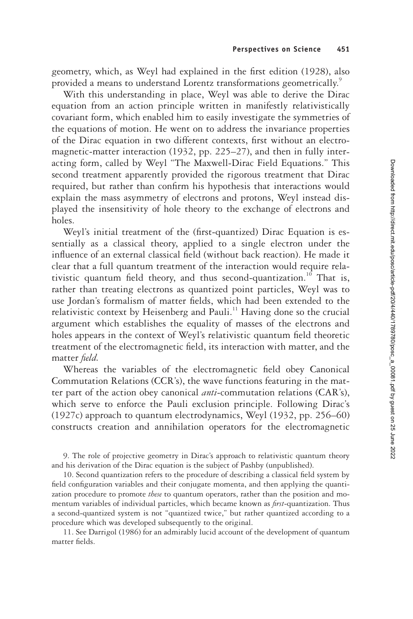geometry, which, as Weyl had explained in the first edition (1928), also provided a means to understand Lorentz transformations geometrically.<sup>9</sup>

With this understanding in place, Weyl was able to derive the Dirac equation from an action principle written in manifestly relativistically covariant form, which enabled him to easily investigate the symmetries of the equations of motion. He went on to address the invariance properties of the Dirac equation in two different contexts, first without an electromagnetic-matter interaction (1932, pp. 225–27), and then in fully interacting form, called by Weyl "The Maxwell-Dirac Field Equations." This second treatment apparently provided the rigorous treatment that Dirac required, but rather than confirm his hypothesis that interactions would explain the mass asymmetry of electrons and protons, Weyl instead displayed the insensitivity of hole theory to the exchange of electrons and holes.

Weyl's initial treatment of the (first-quantized) Dirac Equation is essentially as a classical theory, applied to a single electron under the influence of an external classical field (without back reaction). He made it clear that a full quantum treatment of the interaction would require relativistic quantum field theory, and thus second-quantization.<sup>10</sup> That is, rather than treating electrons as quantized point particles, Weyl was to use Jordan's formalism of matter fields, which had been extended to the relativistic context by Heisenberg and Pauli.<sup>11</sup> Having done so the crucial argument which establishes the equality of masses of the electrons and holes appears in the context of Weyl's relativistic quantum field theoretic treatment of the electromagnetic field, its interaction with matter, and the matter *field*.

Whereas the variables of the electromagnetic field obey Canonical Commutation Relations (CCR's), the wave functions featuring in the matter part of the action obey canonical *anti*-commutation relations (CAR's), which serve to enforce the Pauli exclusion principle. Following Dirac's (1927c) approach to quantum electrodynamics, Weyl (1932, pp. 256–60) constructs creation and annihilation operators for the electromagnetic

9. The role of projective geometry in Dirac's approach to relativistic quantum theory and his derivation of the Dirac equation is the subject of Pashby (unpublished).

10. Second quantization refers to the procedure of describing a classical field system by field configuration variables and their conjugate momenta, and then applying the quantization procedure to promote *these* to quantum operators, rather than the position and momentum variables of individual particles, which became known as *first*-quantization. Thus a second-quantized system is not "quantized twice," but rather quantized according to a procedure which was developed subsequently to the original.

11. See Darrigol (1986) for an admirably lucid account of the development of quantum matter fields.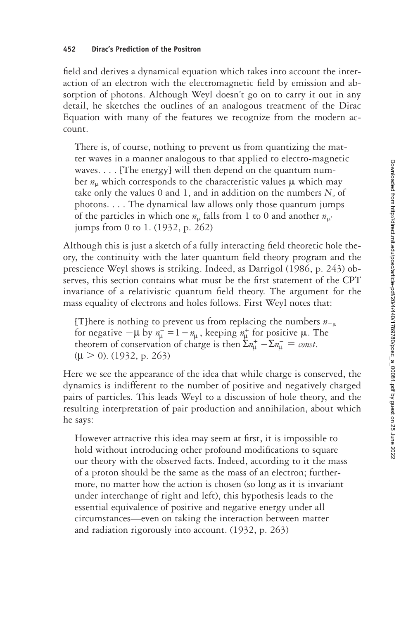#### **452 Dirac's Prediction of the Positron**

field and derives a dynamical equation which takes into account the interaction of an electron with the electromagnetic field by emission and absorption of photons. Although Weyl doesn't go on to carry it out in any detail, he sketches the outlines of an analogous treatment of the Dirac Equation with many of the features we recognize from the modern account.

There is, of course, nothing to prevent us from quantizing the matter waves in a manner analogous to that applied to electro-magnetic waves.... [The energy] will then depend on the quantum number  $n_{\mu}$  which corresponds to the characteristic values  $\mu$  which may take only the values 0 and 1, and in addition on the numbers  $N_{\nu}$  of photons. . . . The dynamical law allows only those quantum jumps of the particles in which one  $n_{\mu}$  falls from 1 to 0 and another  $n_{\mu'}$ jumps from 0 to 1. (1932, p. 262)

Although this is just a sketch of a fully interacting field theoretic hole theory, the continuity with the later quantum field theory program and the prescience Weyl shows is striking. Indeed, as Darrigol (1986, p. 243) observes, this section contains what must be the first statement of the CPT invariance of a relativistic quantum field theory. The argument for the mass equality of electrons and holes follows. First Weyl notes that:

[T]here is nothing to prevent us from replacing the numbers  $n_{-\mu}$ for negative  $-\mu$  by  $n_{\mu} = 1 - n_{\mu}$ , keeping  $n_{\mu}^{+}$  for positive  $\mu$ . The theorem of conservation of charge is then  $\sum n_{\mu}^{+} - \sum n_{\mu}^{-} = const.$  $(\mu > 0)$ . (1932, p. 263)

Here we see the appearance of the idea that while charge is conserved, the dynamics is indifferent to the number of positive and negatively charged pairs of particles. This leads Weyl to a discussion of hole theory, and the resulting interpretation of pair production and annihilation, about which he says:

However attractive this idea may seem at first, it is impossible to hold without introducing other profound modifications to square our theory with the observed facts. Indeed, according to it the mass of a proton should be the same as the mass of an electron; furthermore, no matter how the action is chosen (so long as it is invariant under interchange of right and left), this hypothesis leads to the essential equivalence of positive and negative energy under all circumstances—even on taking the interaction between matter and radiation rigorously into account. (1932, p. 263)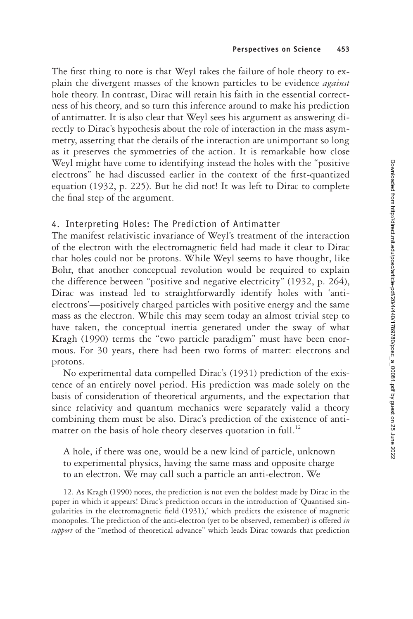The first thing to note is that Weyl takes the failure of hole theory to explain the divergent masses of the known particles to be evidence *against* hole theory. In contrast, Dirac will retain his faith in the essential correctness of his theory, and so turn this inference around to make his prediction of antimatter. It is also clear that Weyl sees his argument as answering directly to Dirac's hypothesis about the role of interaction in the mass asymmetry, asserting that the details of the interaction are unimportant so long as it preserves the symmetries of the action. It is remarkable how close Weyl might have come to identifying instead the holes with the "positive electrons" he had discussed earlier in the context of the first-quantized equation (1932, p. 225). But he did not! It was left to Dirac to complete the final step of the argument.

## 4. Interpreting Holes: The Prediction of Antimatter

The manifest relativistic invariance of Weyl's treatment of the interaction of the electron with the electromagnetic field had made it clear to Dirac that holes could not be protons. While Weyl seems to have thought, like Bohr, that another conceptual revolution would be required to explain the difference between "positive and negative electricity" (1932, p. 264), Dirac was instead led to straightforwardly identify holes with 'antielectrons'—positively charged particles with positive energy and the same mass as the electron. While this may seem today an almost trivial step to have taken, the conceptual inertia generated under the sway of what Kragh (1990) terms the "two particle paradigm" must have been enormous. For 30 years, there had been two forms of matter: electrons and protons.

No experimental data compelled Dirac's (1931) prediction of the existence of an entirely novel period. His prediction was made solely on the basis of consideration of theoretical arguments, and the expectation that since relativity and quantum mechanics were separately valid a theory combining them must be also. Dirac's prediction of the existence of antimatter on the basis of hole theory deserves quotation in full.<sup>12</sup>

A hole, if there was one, would be a new kind of particle, unknown to experimental physics, having the same mass and opposite charge to an electron. We may call such a particle an anti-electron. We

12. As Kragh (1990) notes, the prediction is not even the boldest made by Dirac in the paper in which it appears! Dirac's prediction occurs in the introduction of 'Quantised singularities in the electromagnetic field (1931),' which predicts the existence of magnetic monopoles. The prediction of the anti-electron (yet to be observed, remember) is offered *in support* of the "method of theoretical advance" which leads Dirac towards that prediction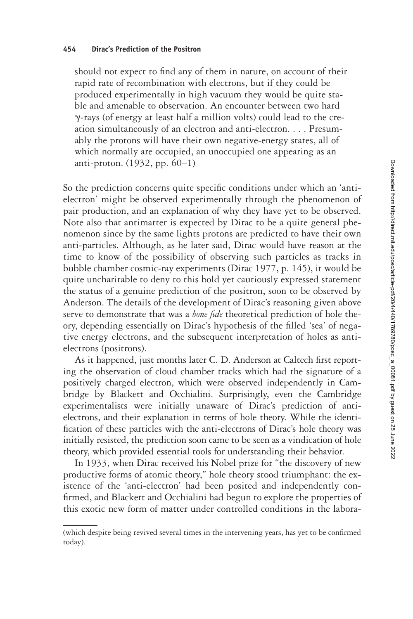should not expect to find any of them in nature, on account of their rapid rate of recombination with electrons, but if they could be produced experimentally in high vacuum they would be quite stable and amenable to observation. An encounter between two hard  $\gamma$ -rays (of energy at least half a million volts) could lead to the creation simultaneously of an electron and anti-electron.... Presumably the protons will have their own negative-energy states, all of which normally are occupied, an unoccupied one appearing as an anti-proton. (1932, pp. 60–1)

So the prediction concerns quite specific conditions under which an 'antielectron' might be observed experimentally through the phenomenon of pair production, and an explanation of why they have yet to be observed. Note also that antimatter is expected by Dirac to be a quite general phenomenon since by the same lights protons are predicted to have their own anti-particles. Although, as he later said, Dirac would have reason at the time to know of the possibility of observing such particles as tracks in bubble chamber cosmic-ray experiments (Dirac 1977, p. 145), it would be quite uncharitable to deny to this bold yet cautiously expressed statement the status of a genuine prediction of the positron, soon to be observed by Anderson. The details of the development of Dirac's reasoning given above serve to demonstrate that was a *bone fide* theoretical prediction of hole theory, depending essentially on Dirac's hypothesis of the filled 'sea' of negative energy electrons, and the subsequent interpretation of holes as antielectrons (positrons).

As it happened, just months later C. D. Anderson at Caltech first reporting the observation of cloud chamber tracks which had the signature of a positively charged electron, which were observed independently in Cambridge by Blackett and Occhialini. Surprisingly, even the Cambridge experimentalists were initially unaware of Dirac's prediction of antielectrons, and their explanation in terms of hole theory. While the identification of these particles with the anti-electrons of Dirac's hole theory was initially resisted, the prediction soon came to be seen as a vindication of hole theory, which provided essential tools for understanding their behavior.

In 1933, when Dirac received his Nobel prize for "the discovery of new productive forms of atomic theory," hole theory stood triumphant: the existence of the 'anti-electron' had been posited and independently confirmed, and Blackett and Occhialini had begun to explore the properties of this exotic new form of matter under controlled conditions in the labora-

<sup>(</sup>which despite being revived several times in the intervening years, has yet to be confirmed today).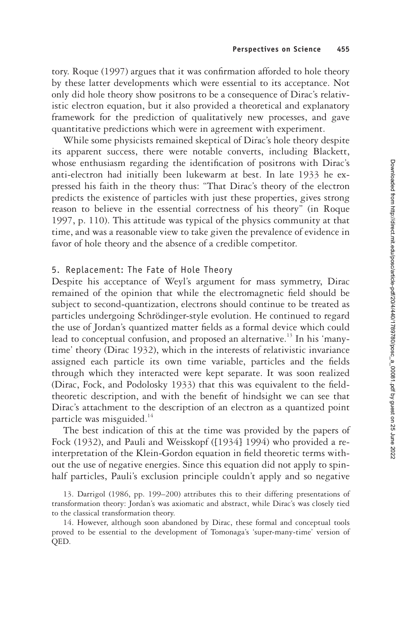tory. Roque  $(1997)$  argues that it was confirmation afforded to hole theory by these latter developments which were essential to its acceptance. Not only did hole theory show positrons to be a consequence of Dirac's relativistic electron equation, but it also provided a theoretical and explanatory framework for the prediction of qualitatively new processes, and gave quantitative predictions which were in agreement with experiment.

While some physicists remained skeptical of Dirac's hole theory despite its apparent success, there were notable converts, including Blackett, whose enthusiasm regarding the identification of positrons with Dirac's anti-electron had initially been lukewarm at best. In late 1933 he expressed his faith in the theory thus: "That Dirac's theory of the electron predicts the existence of particles with just these properties, gives strong reason to believe in the essential correctness of his theory" (in Roque 1997, p. 110). This attitude was typical of the physics community at that time, and was a reasonable view to take given the prevalence of evidence in favor of hole theory and the absence of a credible competitor.

### 5. Replacement: The Fate of Hole Theory

Despite his acceptance of Weyl's argument for mass symmetry, Dirac remained of the opinion that while the electromagnetic field should be subject to second-quantization, electrons should continue to be treated as particles undergoing Schrödinger-style evolution. He continued to regard the use of Jordan's quantized matter fields as a formal device which could lead to conceptual confusion, and proposed an alternative.<sup>13</sup> In his 'manytime' theory (Dirac 1932), which in the interests of relativistic invariance assigned each particle its own time variable, particles and the fields through which they interacted were kept separate. It was soon realized (Dirac, Fock, and Podolosky 1933) that this was equivalent to the fieldtheoretic description, and with the benefit of hindsight we can see that Dirac's attachment to the description of an electron as a quantized point particle was misguided.<sup>14</sup>

The best indication of this at the time was provided by the papers of Fock (1932), and Pauli and Weisskopf ([1934] 1994) who provided a reinterpretation of the Klein-Gordon equation in field theoretic terms without the use of negative energies. Since this equation did not apply to spinhalf particles, Pauli's exclusion principle couldn't apply and so negative

<sup>13.</sup> Darrigol (1986, pp. 199–200) attributes this to their differing presentations of transformation theory: Jordan's was axiomatic and abstract, while Dirac's was closely tied to the classical transformation theory.

<sup>14.</sup> However, although soon abandoned by Dirac, these formal and conceptual tools proved to be essential to the development of Tomonaga's 'super-many-time' version of QED.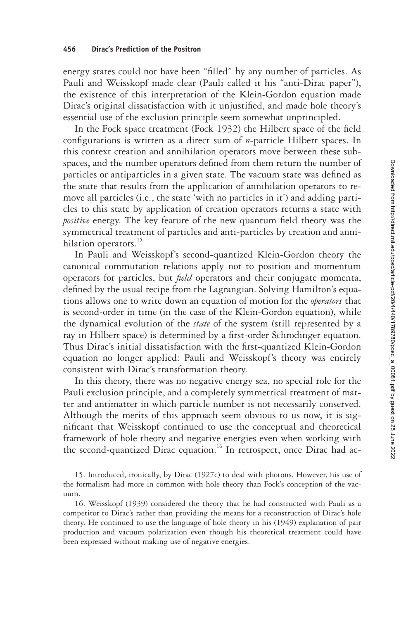energy states could not have been "filled" by any number of particles. As Pauli and Weisskopf made clear (Pauli called it his "anti-Dirac paper"), the existence of this interpretation of the Klein-Gordon equation made Dirac's original dissatisfaction with it unjustified, and made hole theory's essential use of the exclusion principle seem somewhat unprincipled.

In the Fock space treatment (Fock 1932) the Hilbert space of the field configurations is written as a direct sum of *n*-particle Hilbert spaces. In this context creation and annihilation operators move between these subspaces, and the number operators defined from them return the number of particles or antiparticles in a given state. The vacuum state was defined as the state that results from the application of annihilation operators to remove all particles (i.e., the state 'with no particles in it') and adding particles to this state by application of creation operators returns a state with *positive* energy. The key feature of the new quantum field theory was the symmetrical treatment of particles and anti-particles by creation and annihilation operators.<sup>15</sup>

In Pauli and Weisskopf's second-quantized Klein-Gordon theory the canonical commutation relations apply not to position and momentum operators for particles, but *field* operators and their conjugate momenta, defined by the usual recipe from the Lagrangian. Solving Hamilton's equations allows one to write down an equation of motion for the *operators* that is second-order in time (in the case of the Klein-Gordon equation), while the dynamical evolution of the *state* of the system (still represented by a ray in Hilbert space) is determined by a first-order Schrodinger equation. Thus Dirac's initial dissatisfaction with the first-quantized Klein-Gordon equation no longer applied: Pauli and Weisskopf's theory was entirely consistent with Dirac's transformation theory.

In this theory, there was no negative energy sea, no special role for the Pauli exclusion principle, and a completely symmetrical treatment of matter and antimatter in which particle number is not necessarily conserved. Although the merits of this approach seem obvious to us now, it is significant that Weisskopf continued to use the conceptual and theoretical framework of hole theory and negative energies even when working with the second-quantized Dirac equation.<sup>16</sup> In retrospect, once Dirac had ac-

15. Introduced, ironically, by Dirac (1927c) to deal with photons. However, his use of the formalism had more in common with hole theory than Fock's conception of the vacuum.

16. Weisskopf (1939) considered the theory that he had constructed with Pauli as a competitor to Dirac's rather than providing the means for a reconstruction of Dirac's hole theory. He continued to use the language of hole theory in his (1949) explanation of pair production and vacuum polarization even though his theoretical treatment could have been expressed without making use of negative energies.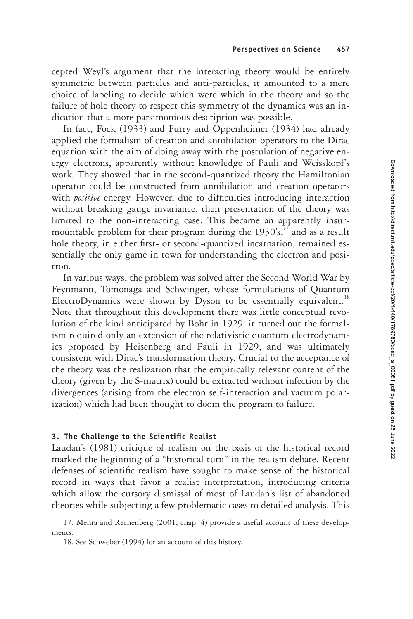cepted Weyl's argument that the interacting theory would be entirely symmetric between particles and anti-particles, it amounted to a mere choice of labeling to decide which were which in the theory and so the failure of hole theory to respect this symmetry of the dynamics was an indication that a more parsimonious description was possible.

In fact, Fock (1933) and Furry and Oppenheimer (1934) had already applied the formalism of creation and annihilation operators to the Dirac equation with the aim of doing away with the postulation of negative energy electrons, apparently without knowledge of Pauli and Weisskopf's work. They showed that in the second-quantized theory the Hamiltonian operator could be constructed from annihilation and creation operators with *positive* energy. However, due to difficulties introducing interaction without breaking gauge invariance, their presentation of the theory was limited to the non-interacting case. This became an apparently insurmountable problem for their program during the  $1930's$ ,<sup>17</sup> and as a result hole theory, in either first- or second-quantized incarnation, remained essentially the only game in town for understanding the electron and positron.

In various ways, the problem was solved after the Second World War by Feynmann, Tomonaga and Schwinger, whose formulations of Quantum ElectroDynamics were shown by Dyson to be essentially equivalent.<sup>18</sup> Note that throughout this development there was little conceptual revolution of the kind anticipated by Bohr in 1929: it turned out the formalism required only an extension of the relativistic quantum electrodynamics proposed by Heisenberg and Pauli in 1929, and was ultimately consistent with Dirac's transformation theory. Crucial to the acceptance of the theory was the realization that the empirically relevant content of the theory (given by the S-matrix) could be extracted without infection by the divergences (arising from the electron self-interaction and vacuum polarization) which had been thought to doom the program to failure.

### **3. The Challenge to the Scientific Realist**

Laudan's (1981) critique of realism on the basis of the historical record marked the beginning of a "historical turn" in the realism debate. Recent defenses of scientific realism have sought to make sense of the historical record in ways that favor a realist interpretation, introducing criteria which allow the cursory dismissal of most of Laudan's list of abandoned theories while subjecting a few problematic cases to detailed analysis. This

18. See Schweber (1994) for an account of this history.

<sup>17.</sup> Mehra and Rechenberg (2001, chap. 4) provide a useful account of these developments.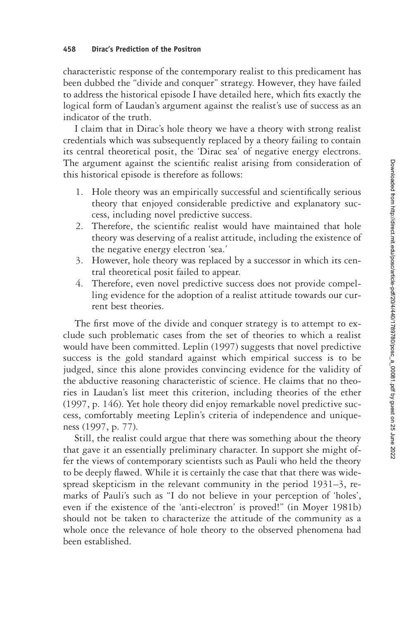characteristic response of the contemporary realist to this predicament has been dubbed the "divide and conquer" strategy. However, they have failed to address the historical episode I have detailed here, which fits exactly the logical form of Laudan's argument against the realist's use of success as an indicator of the truth.

I claim that in Dirac's hole theory we have a theory with strong realist credentials which was subsequently replaced by a theory failing to contain its central theoretical posit, the 'Dirac sea' of negative energy electrons. The argument against the scientific realist arising from consideration of this historical episode is therefore as follows:

- 1. Hole theory was an empirically successful and scientifically serious theory that enjoyed considerable predictive and explanatory success, including novel predictive success.
- 2. Therefore, the scientific realist would have maintained that hole theory was deserving of a realist attitude, including the existence of the negative energy electron 'sea.'
- 3. However, hole theory was replaced by a successor in which its central theoretical posit failed to appear.
- 4. Therefore, even novel predictive success does not provide compelling evidence for the adoption of a realist attitude towards our current best theories.

The first move of the divide and conquer strategy is to attempt to exclude such problematic cases from the set of theories to which a realist would have been committed. Leplin (1997) suggests that novel predictive success is the gold standard against which empirical success is to be judged, since this alone provides convincing evidence for the validity of the abductive reasoning characteristic of science. He claims that no theories in Laudan's list meet this criterion, including theories of the ether (1997, p. 146). Yet hole theory did enjoy remarkable novel predictive success, comfortably meeting Leplin's criteria of independence and uniqueness (1997, p. 77).

Still, the realist could argue that there was something about the theory that gave it an essentially preliminary character. In support she might offer the views of contemporary scientists such as Pauli who held the theory to be deeply flawed. While it is certainly the case that that there was widespread skepticism in the relevant community in the period 1931–3, remarks of Pauli's such as "I do not believe in your perception of 'holes', even if the existence of the 'anti-electron' is proved!" (in Moyer 1981b) should not be taken to characterize the attitude of the community as a whole once the relevance of hole theory to the observed phenomena had been established.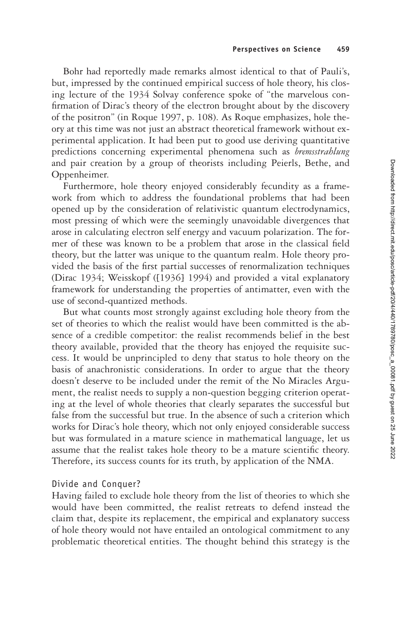Bohr had reportedly made remarks almost identical to that of Pauli's, but, impressed by the continued empirical success of hole theory, his closing lecture of the 1934 Solvay conference spoke of "the marvelous confirmation of Dirac's theory of the electron brought about by the discovery of the positron" (in Roque 1997, p. 108). As Roque emphasizes, hole theory at this time was not just an abstract theoretical framework without experimental application. It had been put to good use deriving quantitative predictions concerning experimental phenomena such as *bremsstrahlung* and pair creation by a group of theorists including Peierls, Bethe, and Oppenheimer.

Furthermore, hole theory enjoyed considerably fecundity as a framework from which to address the foundational problems that had been opened up by the consideration of relativistic quantum electrodynamics, most pressing of which were the seemingly unavoidable divergences that arose in calculating electron self energy and vacuum polarization. The former of these was known to be a problem that arose in the classical field theory, but the latter was unique to the quantum realm. Hole theory provided the basis of the first partial successes of renormalization techniques (Dirac 1934; Weisskopf ([1936] 1994) and provided a vital explanatory framework for understanding the properties of antimatter, even with the use of second-quantized methods.

But what counts most strongly against excluding hole theory from the set of theories to which the realist would have been committed is the absence of a credible competitor: the realist recommends belief in the best theory available, provided that the theory has enjoyed the requisite success. It would be unprincipled to deny that status to hole theory on the basis of anachronistic considerations. In order to argue that the theory doesn't deserve to be included under the remit of the No Miracles Argument, the realist needs to supply a non-question begging criterion operating at the level of whole theories that clearly separates the successful but false from the successful but true. In the absence of such a criterion which works for Dirac's hole theory, which not only enjoyed considerable success but was formulated in a mature science in mathematical language, let us assume that the realist takes hole theory to be a mature scientific theory. Therefore, its success counts for its truth, by application of the NMA.

### Divide and Conquer?

Having failed to exclude hole theory from the list of theories to which she would have been committed, the realist retreats to defend instead the claim that, despite its replacement, the empirical and explanatory success of hole theory would not have entailed an ontological commitment to any problematic theoretical entities. The thought behind this strategy is the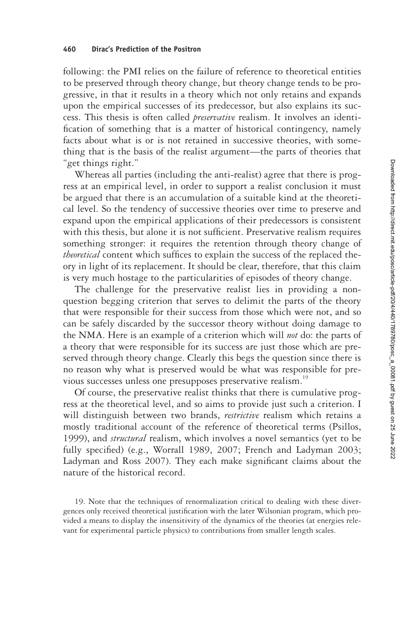following: the PMI relies on the failure of reference to theoretical entities to be preserved through theory change, but theory change tends to be progressive, in that it results in a theory which not only retains and expands upon the empirical successes of its predecessor, but also explains its success. This thesis is often called *preservative* realism. It involves an identification of something that is a matter of historical contingency, namely facts about what is or is not retained in successive theories, with something that is the basis of the realist argument—the parts of theories that "get things right."

Whereas all parties (including the anti-realist) agree that there is progress at an empirical level, in order to support a realist conclusion it must be argued that there is an accumulation of a suitable kind at the theoretical level. So the tendency of successive theories over time to preserve and expand upon the empirical applications of their predecessors is consistent with this thesis, but alone it is not sufficient. Preservative realism requires something stronger: it requires the retention through theory change of *theoretical* content which suffices to explain the success of the replaced theory in light of its replacement. It should be clear, therefore, that this claim is very much hostage to the particularities of episodes of theory change.

The challenge for the preservative realist lies in providing a nonquestion begging criterion that serves to delimit the parts of the theory that were responsible for their success from those which were not, and so can be safely discarded by the successor theory without doing damage to the NMA. Here is an example of a criterion which will *not* do: the parts of a theory that were responsible for its success are just those which are preserved through theory change. Clearly this begs the question since there is no reason why what is preserved would be what was responsible for previous successes unless one presupposes preservative realism.<sup>19</sup>

Of course, the preservative realist thinks that there is cumulative progress at the theoretical level, and so aims to provide just such a criterion. I will distinguish between two brands, *restrictive* realism which retains a mostly traditional account of the reference of theoretical terms (Psillos, 1999), and *structural* realism, which involves a novel semantics (yet to be fully specified) (e.g., Worrall 1989, 2007; French and Ladyman 2003; Ladyman and Ross 2007). They each make significant claims about the nature of the historical record.

19. Note that the techniques of renormalization critical to dealing with these divergences only received theoretical justification with the later Wilsonian program, which provided a means to display the insensitivity of the dynamics of the theories (at energies relevant for experimental particle physics) to contributions from smaller length scales.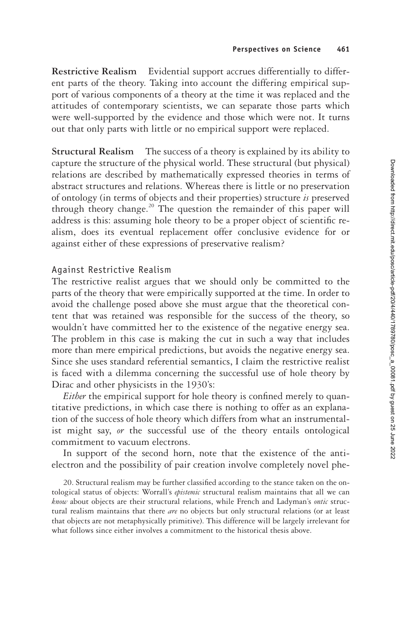**Restrictive Realism** Evidential support accrues differentially to different parts of the theory. Taking into account the differing empirical support of various components of a theory at the time it was replaced and the attitudes of contemporary scientists, we can separate those parts which were well-supported by the evidence and those which were not. It turns out that only parts with little or no empirical support were replaced.

**Structural Realism** The success of a theory is explained by its ability to capture the structure of the physical world. These structural (but physical) relations are described by mathematically expressed theories in terms of abstract structures and relations. Whereas there is little or no preservation of ontology (in terms of objects and their properties) structure *is* preserved through theory change.<sup>20</sup> The question the remainder of this paper will address is this: assuming hole theory to be a proper object of scientific realism, does its eventual replacement offer conclusive evidence for or against either of these expressions of preservative realism?

## Against Restrictive Realism

The restrictive realist argues that we should only be committed to the parts of the theory that were empirically supported at the time. In order to avoid the challenge posed above she must argue that the theoretical content that was retained was responsible for the success of the theory, so wouldn't have committed her to the existence of the negative energy sea. The problem in this case is making the cut in such a way that includes more than mere empirical predictions, but avoids the negative energy sea. Since she uses standard referential semantics, I claim the restrictive realist is faced with a dilemma concerning the successful use of hole theory by Dirac and other physicists in the 1930's:

*Either* the empirical support for hole theory is confined merely to quantitative predictions, in which case there is nothing to offer as an explanation of the success of hole theory which differs from what an instrumentalist might say, *or* the successful use of the theory entails ontological commitment to vacuum electrons.

In support of the second horn, note that the existence of the antielectron and the possibility of pair creation involve completely novel phe-

20. Structural realism may be further classified according to the stance taken on the ontological status of objects: Worrall's *epistemic* structural realism maintains that all we can *know* about objects are their structural relations, while French and Ladyman's *ontic* structural realism maintains that there *are* no objects but only structural relations (or at least that objects are not metaphysically primitive). This difference will be largely irrelevant for what follows since either involves a commitment to the historical thesis above.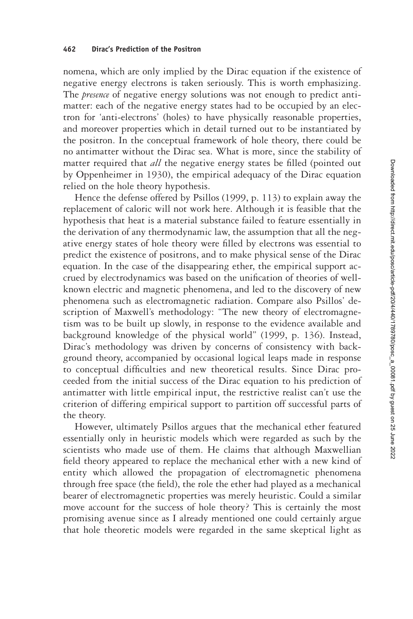nomena, which are only implied by the Dirac equation if the existence of negative energy electrons is taken seriously. This is worth emphasizing. The *presence* of negative energy solutions was not enough to predict antimatter: each of the negative energy states had to be occupied by an electron for 'anti-electrons' (holes) to have physically reasonable properties, and moreover properties which in detail turned out to be instantiated by the positron. In the conceptual framework of hole theory, there could be no antimatter without the Dirac sea. What is more, since the stability of matter required that *all* the negative energy states be filled (pointed out by Oppenheimer in 1930), the empirical adequacy of the Dirac equation relied on the hole theory hypothesis.

Hence the defense offered by Psillos (1999, p. 113) to explain away the replacement of caloric will not work here. Although it is feasible that the hypothesis that heat is a material substance failed to feature essentially in the derivation of any thermodynamic law, the assumption that all the negative energy states of hole theory were filled by electrons was essential to predict the existence of positrons, and to make physical sense of the Dirac equation. In the case of the disappearing ether, the empirical support accrued by electrodynamics was based on the unification of theories of wellknown electric and magnetic phenomena, and led to the discovery of new phenomena such as electromagnetic radiation. Compare also Psillos' description of Maxwell's methodology: "The new theory of electromagnetism was to be built up slowly, in response to the evidence available and background knowledge of the physical world" (1999, p. 136). Instead, Dirac's methodology was driven by concerns of consistency with background theory, accompanied by occasional logical leaps made in response to conceptual difficulties and new theoretical results. Since Dirac proceeded from the initial success of the Dirac equation to his prediction of antimatter with little empirical input, the restrictive realist can't use the criterion of differing empirical support to partition off successful parts of the theory.

However, ultimately Psillos argues that the mechanical ether featured essentially only in heuristic models which were regarded as such by the scientists who made use of them. He claims that although Maxwellian field theory appeared to replace the mechanical ether with a new kind of entity which allowed the propagation of electromagnetic phenomena through free space (the field), the role the ether had played as a mechanical bearer of electromagnetic properties was merely heuristic. Could a similar move account for the success of hole theory? This is certainly the most promising avenue since as I already mentioned one could certainly argue that hole theoretic models were regarded in the same skeptical light as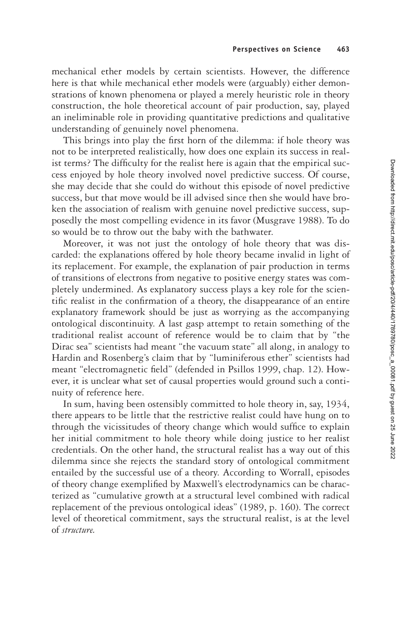mechanical ether models by certain scientists. However, the difference here is that while mechanical ether models were (arguably) either demonstrations of known phenomena or played a merely heuristic role in theory construction, the hole theoretical account of pair production, say, played an ineliminable role in providing quantitative predictions and qualitative understanding of genuinely novel phenomena.

This brings into play the first horn of the dilemma: if hole theory was not to be interpreted realistically, how does one explain its success in realist terms? The difficulty for the realist here is again that the empirical success enjoyed by hole theory involved novel predictive success. Of course, she may decide that she could do without this episode of novel predictive success, but that move would be ill advised since then she would have broken the association of realism with genuine novel predictive success, supposedly the most compelling evidence in its favor (Musgrave 1988). To do so would be to throw out the baby with the bathwater.

Moreover, it was not just the ontology of hole theory that was discarded: the explanations offered by hole theory became invalid in light of its replacement. For example, the explanation of pair production in terms of transitions of electrons from negative to positive energy states was completely undermined. As explanatory success plays a key role for the scientific realist in the confirmation of a theory, the disappearance of an entire explanatory framework should be just as worrying as the accompanying ontological discontinuity. A last gasp attempt to retain something of the traditional realist account of reference would be to claim that by "the Dirac sea" scientists had meant "the vacuum state" all along, in analogy to Hardin and Rosenberg's claim that by "luminiferous ether" scientists had meant "electromagnetic field" (defended in Psillos 1999, chap. 12). However, it is unclear what set of causal properties would ground such a continuity of reference here.

In sum, having been ostensibly committed to hole theory in, say, 1934, there appears to be little that the restrictive realist could have hung on to through the vicissitudes of theory change which would suffice to explain her initial commitment to hole theory while doing justice to her realist credentials. On the other hand, the structural realist has a way out of this dilemma since she rejects the standard story of ontological commitment entailed by the successful use of a theory. According to Worrall, episodes of theory change exemplified by Maxwell's electrodynamics can be characterized as "cumulative growth at a structural level combined with radical replacement of the previous ontological ideas" (1989, p. 160). The correct level of theoretical commitment, says the structural realist, is at the level of *structure.*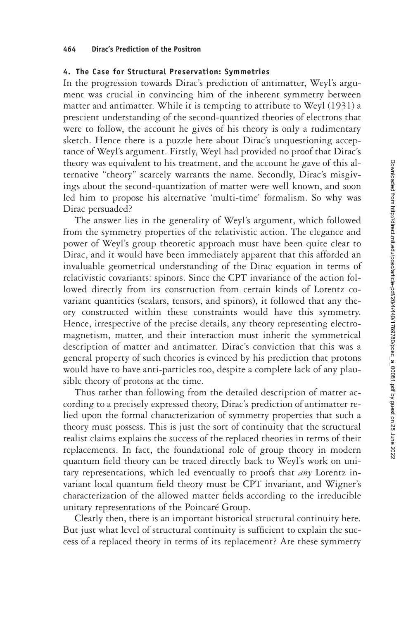### **4. The Case for Structural Preservation: Symmetries**

In the progression towards Dirac's prediction of antimatter, Weyl's argument was crucial in convincing him of the inherent symmetry between matter and antimatter. While it is tempting to attribute to Weyl (1931) a prescient understanding of the second-quantized theories of electrons that were to follow, the account he gives of his theory is only a rudimentary sketch. Hence there is a puzzle here about Dirac's unquestioning acceptance of Weyl's argument. Firstly, Weyl had provided no proof that Dirac's theory was equivalent to his treatment, and the account he gave of this alternative "theory" scarcely warrants the name. Secondly, Dirac's misgivings about the second-quantization of matter were well known, and soon led him to propose his alternative 'multi-time' formalism. So why was Dirac persuaded?

The answer lies in the generality of Weyl's argument, which followed from the symmetry properties of the relativistic action. The elegance and power of Weyl's group theoretic approach must have been quite clear to Dirac, and it would have been immediately apparent that this afforded an invaluable geometrical understanding of the Dirac equation in terms of relativistic covariants: spinors. Since the CPT invariance of the action followed directly from its construction from certain kinds of Lorentz covariant quantities (scalars, tensors, and spinors), it followed that any theory constructed within these constraints would have this symmetry. Hence, irrespective of the precise details, any theory representing electromagnetism, matter, and their interaction must inherit the symmetrical description of matter and antimatter. Dirac's conviction that this was a general property of such theories is evinced by his prediction that protons would have to have anti-particles too, despite a complete lack of any plausible theory of protons at the time.

Thus rather than following from the detailed description of matter according to a precisely expressed theory, Dirac's prediction of antimatter relied upon the formal characterization of symmetry properties that such a theory must possess. This is just the sort of continuity that the structural realist claims explains the success of the replaced theories in terms of their replacements. In fact, the foundational role of group theory in modern quantum field theory can be traced directly back to Weyl's work on unitary representations, which led eventually to proofs that *any* Lorentz invariant local quantum field theory must be CPT invariant, and Wigner's characterization of the allowed matter fields according to the irreducible unitary representations of the Poincaré Group.

Clearly then, there is an important historical structural continuity here. But just what level of structural continuity is sufficient to explain the success of a replaced theory in terms of its replacement? Are these symmetry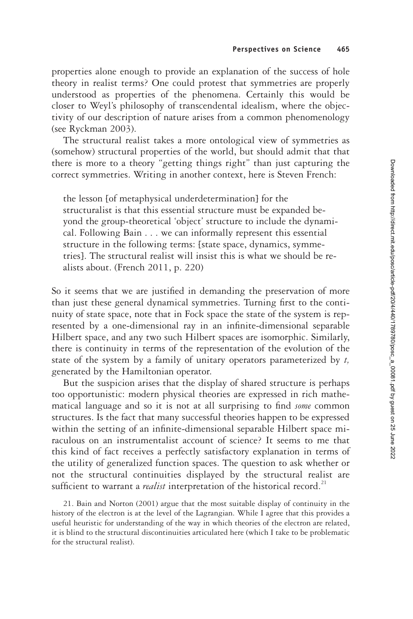properties alone enough to provide an explanation of the success of hole theory in realist terms? One could protest that symmetries are properly understood as properties of the phenomena. Certainly this would be closer to Weyl's philosophy of transcendental idealism, where the objectivity of our description of nature arises from a common phenomenology (see Ryckman 2003).

The structural realist takes a more ontological view of symmetries as (somehow) structural properties of the world, but should admit that that there is more to a theory "getting things right" than just capturing the correct symmetries. Writing in another context, here is Steven French:

the lesson [of metaphysical underdetermination] for the structuralist is that this essential structure must be expanded beyond the group-theoretical 'object' structure to include the dynamical. Following Bain . . . we can informally represent this essential structure in the following terms: [state space, dynamics, symmetries]. The structural realist will insist this is what we should be realists about. (French 2011, p. 220)

So it seems that we are justified in demanding the preservation of more than just these general dynamical symmetries. Turning first to the continuity of state space, note that in Fock space the state of the system is represented by a one-dimensional ray in an infinite-dimensional separable Hilbert space, and any two such Hilbert spaces are isomorphic. Similarly, there is continuity in terms of the representation of the evolution of the state of the system by a family of unitary operators parameterized by *t,* generated by the Hamiltonian operator.

But the suspicion arises that the display of shared structure is perhaps too opportunistic: modern physical theories are expressed in rich mathematical language and so it is not at all surprising to find *some* common structures. Is the fact that many successful theories happen to be expressed within the setting of an infinite-dimensional separable Hilbert space miraculous on an instrumentalist account of science? It seems to me that this kind of fact receives a perfectly satisfactory explanation in terms of the utility of generalized function spaces. The question to ask whether or not the structural continuities displayed by the structural realist are sufficient to warrant a *realist* interpretation of the historical record.<sup>21</sup>

21. Bain and Norton (2001) argue that the most suitable display of continuity in the history of the electron is at the level of the Lagrangian. While I agree that this provides a useful heuristic for understanding of the way in which theories of the electron are related, it is blind to the structural discontinuities articulated here (which I take to be problematic for the structural realist).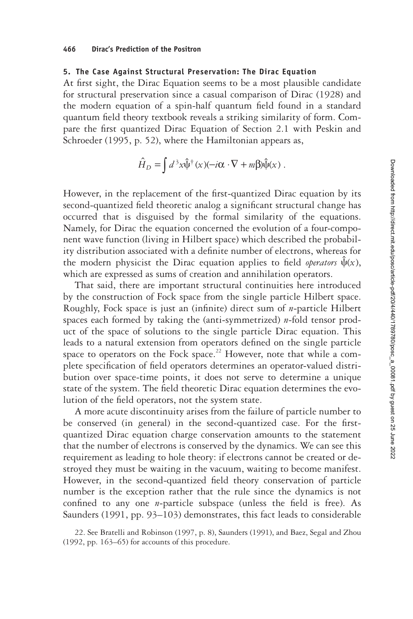### **5. The Case Against Structural Preservation: The Dirac Equation**

At first sight, the Dirac Equation seems to be a most plausible candidate for structural preservation since a casual comparison of Dirac (1928) and the modern equation of a spin-half quantum field found in a standard quantum field theory textbook reveals a striking similarity of form. Compare the first quantized Dirac Equation of Section 2.1 with Peskin and Schroeder (1995, p. 52), where the Hamiltonian appears as,

$$
\hat{H}_D = \int d^3x \hat{\psi}^\dagger(x) (-i\alpha \cdot \nabla + m\beta) \hat{\psi}(x) .
$$

However, in the replacement of the first-quantized Dirac equation by its second-quantized field theoretic analog a significant structural change has occurred that is disguised by the formal similarity of the equations. Namely, for Dirac the equation concerned the evolution of a four-component wave function (living in Hilbert space) which described the probability distribution associated with a definite number of electrons, whereas for the modern physicist the Dirac equation applies to field *operators*  $\hat{\psi}(x)$ , which are expressed as sums of creation and annihilation operators.

That said, there are important structural continuities here introduced by the construction of Fock space from the single particle Hilbert space. Roughly, Fock space is just an (infinite) direct sum of *n*-particle Hilbert spaces each formed by taking the (anti-symmetrized) *n*-fold tensor product of the space of solutions to the single particle Dirac equation. This leads to a natural extension from operators defined on the single particle space to operators on the Fock space.<sup>22</sup> However, note that while a complete specification of field operators determines an operator-valued distribution over space-time points, it does not serve to determine a unique state of the system. The field theoretic Dirac equation determines the evolution of the field operators, not the system state.

A more acute discontinuity arises from the failure of particle number to be conserved (in general) in the second-quantized case. For the firstquantized Dirac equation charge conservation amounts to the statement that the number of electrons is conserved by the dynamics. We can see this requirement as leading to hole theory: if electrons cannot be created or destroyed they must be waiting in the vacuum, waiting to become manifest. However, in the second-quantized field theory conservation of particle number is the exception rather that the rule since the dynamics is not confined to any one *n*-particle subspace (unless the field is free). As Saunders (1991, pp. 93–103) demonstrates, this fact leads to considerable

22. See Bratelli and Robinson (1997, p. 8), Saunders (1991), and Baez, Segal and Zhou (1992, pp. 163–65) for accounts of this procedure.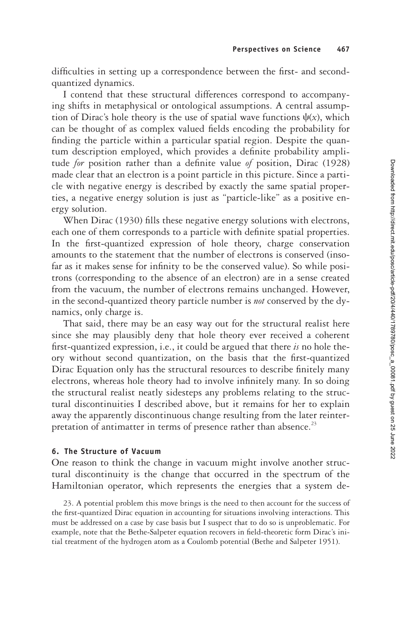difficulties in setting up a correspondence between the first- and secondquantized dynamics.

I contend that these structural differences correspond to accompanying shifts in metaphysical or ontological assumptions. A central assumption of Dirac's hole theory is the use of spatial wave functions  $\psi(x)$ , which can be thought of as complex valued fields encoding the probability for finding the particle within a particular spatial region. Despite the quantum description employed, which provides a definite probability amplitude *for* position rather than a definite value *of* position, Dirac (1928) made clear that an electron is a point particle in this picture. Since a particle with negative energy is described by exactly the same spatial properties, a negative energy solution is just as "particle-like" as a positive energy solution.

When Dirac (1930) fills these negative energy solutions with electrons, each one of them corresponds to a particle with definite spatial properties. In the first-quantized expression of hole theory, charge conservation amounts to the statement that the number of electrons is conserved (insofar as it makes sense for infinity to be the conserved value). So while positrons (corresponding to the absence of an electron) are in a sense created from the vacuum, the number of electrons remains unchanged. However, in the second-quantized theory particle number is *not* conserved by the dynamics, only charge is.

That said, there may be an easy way out for the structural realist here since she may plausibly deny that hole theory ever received a coherent first-quantized expression, i.e., it could be argued that there *is* no hole theory without second quantization, on the basis that the first-quantized Dirac Equation only has the structural resources to describe finitely many electrons, whereas hole theory had to involve infinitely many. In so doing the structural realist neatly sidesteps any problems relating to the structural discontinuities I described above, but it remains for her to explain away the apparently discontinuous change resulting from the later reinterpretation of antimatter in terms of presence rather than absence.<sup>23</sup>

#### **6. The Structure of Vacuum**

One reason to think the change in vacuum might involve another structural discontinuity is the change that occurred in the spectrum of the Hamiltonian operator, which represents the energies that a system de-

23. A potential problem this move brings is the need to then account for the success of the first-quantized Dirac equation in accounting for situations involving interactions. This must be addressed on a case by case basis but I suspect that to do so is unproblematic. For example, note that the Bethe-Salpeter equation recovers in field-theoretic form Dirac's initial treatment of the hydrogen atom as a Coulomb potential (Bethe and Salpeter 1951).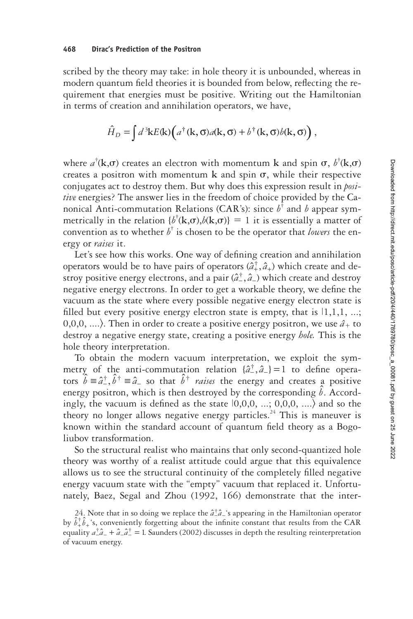scribed by the theory may take: in hole theory it is unbounded, whereas in modern quantum field theories it is bounded from below, reflecting the requirement that energies must be positive. Writing out the Hamiltonian in terms of creation and annihilation operators, we have,

$$
\hat{H}_D = \int d^3k E(k) \Big( a^{\dagger}(\mathbf{k}, \sigma) a(\mathbf{k}, \sigma) + b^{\dagger}(\mathbf{k}, \sigma) b(\mathbf{k}, \sigma) \Big) \,,
$$

where  $a^{\dagger}(\mathbf{k},\sigma)$  creates an electron with momentum **k** and spin  $\sigma$ ,  $b^{\dagger}(\mathbf{k},\sigma)$ creates a positron with momentum  $k$  and spin  $\sigma$ , while their respective conjugates act to destroy them. But why does this expression result in *positive* energies? The answer lies in the freedom of choice provided by the Canonical Anti-commutation Relations (CAR's): since *b* † and *b* appear symmetrically in the relation  $\{b^{\dagger}(\mathbf{k},\sigma),b(\mathbf{k},\sigma)\}=1$  it is essentially a matter of convention as to whether  $b^{\dagger}$  is chosen to be the operator that *lowers* the energy or *raises* it.

Let's see how this works. One way of defining creation and annihilation operators would be to have pairs of operators  $(\hat{a}^\dagger_\pm, \hat{a}_\pm)$  which create and destroy positive energy electrons, and a pair  $(\hat a_-^\dagger, \hat a_-)$  which create and destroy negative energy electrons. In order to get a workable theory, we define the vacuum as the state where every possible negative energy electron state is filled but every positive energy electron state is empty, that is  $|1,1,1, \ldots;$ 0,0,0, ....). Then in order to create a positive energy positron, we use  $\hat{a}_+$  to destroy a negative energy state, creating a positive energy *hole.* This is the hole theory interpretation.

To obtain the modern vacuum interpretation, we exploit the symmetry of the anti-commutation relation  $\{\hat{a}^{\dagger}, \hat{a}^{\phantom{\dagger}}\} = 1$  to define operators  $\hat{b} = \hat{a}^{\dagger}$ ,  $\hat{b}^{\dagger} \equiv \hat{a}$  so that  $\hat{b}^{\dagger}$  *raises* the energy and creates a positive energy positron, which is then destroyed by the corresponding  $\hat{b}$ . Accordingly, the vacuum is defined as the state  $|0,0,0, \ldots; 0,0,0, \ldots\rangle$  and so the theory no longer allows negative energy particles.<sup>24</sup> This is maneuver is known within the standard account of quantum field theory as a Bogoliubov transformation.

So the structural realist who maintains that only second-quantized hole theory was worthy of a realist attitude could argue that this equivalence allows us to see the structural continuity of the completely filled negative energy vacuum state with the "empty" vacuum that replaced it. Unfortunately, Baez, Segal and Zhou (1992, 166) demonstrate that the inter-

<sup>24.</sup> Note that in so doing we replace the  $\hat{a}^{\dagger}$   $\hat{a}$  's appearing in the Hamiltonian operator by  $\hat{b}^{\dagger}_{+}\hat{b}_{+}$ 's, conveniently forgetting about the infinite constant that results from the CAR equality  $a^{\dagger}\hat{a}_{-} + \hat{a}_{-}\hat{a}_{-}^{\dagger} = 1$ . Saunders (2002) discusses in depth the resulting reinterpretation of vacuum energy.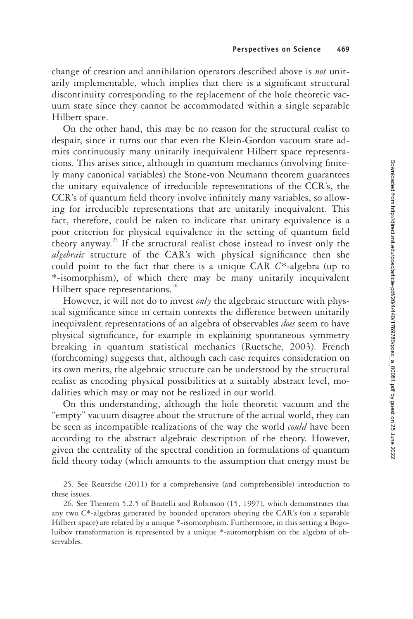change of creation and annihilation operators described above is *not* unitarily implementable, which implies that there is a significant structural discontinuity corresponding to the replacement of the hole theoretic vacuum state since they cannot be accommodated within a single separable Hilbert space.

On the other hand, this may be no reason for the structural realist to despair, since it turns out that even the Klein-Gordon vacuum state admits continuously many unitarily inequivalent Hilbert space representations. This arises since, although in quantum mechanics (involving finitely many canonical variables) the Stone-von Neumann theorem guarantees the unitary equivalence of irreducible representations of the CCR's, the CCR's of quantum field theory involve infinitely many variables, so allowing for irreducible representations that are unitarily inequivalent. This fact, therefore, could be taken to indicate that unitary equivalence is a poor criterion for physical equivalence in the setting of quantum field theory anyway.<sup>25</sup> If the structural realist chose instead to invest only the algebraic structure of the CAR's with physical significance then she could point to the fact that there is a unique CAR *C*\*-algebra (up to \*-isomorphism), of which there may be many unitarily inequivalent Hilbert space representations.<sup>26</sup>

However, it will not do to invest *only* the algebraic structure with physical significance since in certain contexts the difference between unitarily inequivalent representations of an algebra of observables *does* seem to have physical significance, for example in explaining spontaneous symmetry breaking in quantum statistical mechanics (Ruetsche, 2003). French (forthcoming) suggests that, although each case requires consideration on its own merits, the algebraic structure can be understood by the structural realist as encoding physical possibilities at a suitably abstract level, modalities which may or may not be realized in our world.

On this understanding, although the hole theoretic vacuum and the "empty" vacuum disagree about the structure of the actual world, they can be seen as incompatible realizations of the way the world *could* have been according to the abstract algebraic description of the theory. However, given the centrality of the spectral condition in formulations of quantum field theory today (which amounts to the assumption that energy must be

25. See Reutsche (2011) for a comprehensive (and comprehensible) introduction to these issues.

26. See Theorem 5.2.5 of Bratelli and Robinson (15, 1997), which demonstrates that any two *C*\*-algebras generated by bounded operators obeying the CAR's (on a separable Hilbert space) are related by a unique \*-isomorphism. Furthermore, in this setting a Bogoluibov transformation is represented by a unique \*-automorphism on the algebra of observables.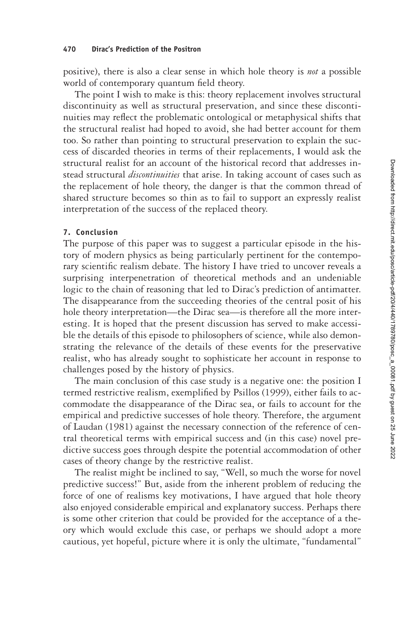positive), there is also a clear sense in which hole theory is *not* a possible world of contemporary quantum field theory.

The point I wish to make is this: theory replacement involves structural discontinuity as well as structural preservation, and since these discontinuities may reflect the problematic ontological or metaphysical shifts that the structural realist had hoped to avoid, she had better account for them too. So rather than pointing to structural preservation to explain the success of discarded theories in terms of their replacements, I would ask the structural realist for an account of the historical record that addresses instead structural *discontinuities* that arise. In taking account of cases such as the replacement of hole theory, the danger is that the common thread of shared structure becomes so thin as to fail to support an expressly realist interpretation of the success of the replaced theory.

### **7. Conclusion**

The purpose of this paper was to suggest a particular episode in the history of modern physics as being particularly pertinent for the contemporary scientific realism debate. The history I have tried to uncover reveals a surprising interpenetration of theoretical methods and an undeniable logic to the chain of reasoning that led to Dirac's prediction of antimatter. The disappearance from the succeeding theories of the central posit of his hole theory interpretation—the Dirac sea—is therefore all the more interesting. It is hoped that the present discussion has served to make accessible the details of this episode to philosophers of science, while also demonstrating the relevance of the details of these events for the preservative realist, who has already sought to sophisticate her account in response to challenges posed by the history of physics.

The main conclusion of this case study is a negative one: the position I termed restrictive realism, exemplified by Psillos (1999), either fails to accommodate the disappearance of the Dirac sea, or fails to account for the empirical and predictive successes of hole theory. Therefore, the argument of Laudan (1981) against the necessary connection of the reference of central theoretical terms with empirical success and (in this case) novel predictive success goes through despite the potential accommodation of other cases of theory change by the restrictive realist.

The realist might be inclined to say, "Well, so much the worse for novel predictive success!" But, aside from the inherent problem of reducing the force of one of realisms key motivations, I have argued that hole theory also enjoyed considerable empirical and explanatory success. Perhaps there is some other criterion that could be provided for the acceptance of a theory which would exclude this case, or perhaps we should adopt a more cautious, yet hopeful, picture where it is only the ultimate, "fundamental"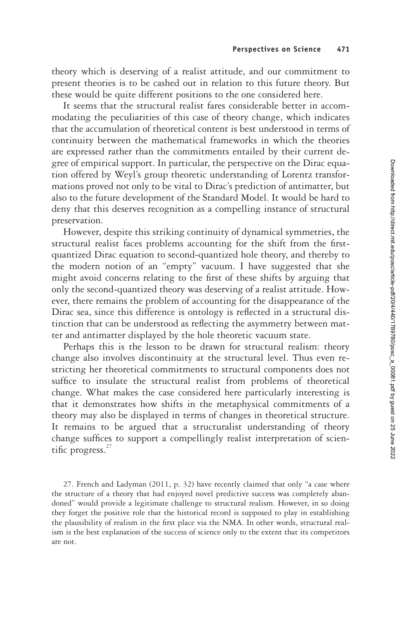theory which is deserving of a realist attitude, and our commitment to present theories is to be cashed out in relation to this future theory. But these would be quite different positions to the one considered here.

It seems that the structural realist fares considerable better in accommodating the peculiarities of this case of theory change, which indicates that the accumulation of theoretical content is best understood in terms of continuity between the mathematical frameworks in which the theories are expressed rather than the commitments entailed by their current degree of empirical support. In particular, the perspective on the Dirac equation offered by Weyl's group theoretic understanding of Lorentz transformations proved not only to be vital to Dirac's prediction of antimatter, but also to the future development of the Standard Model. It would be hard to deny that this deserves recognition as a compelling instance of structural preservation.

However, despite this striking continuity of dynamical symmetries, the structural realist faces problems accounting for the shift from the firstquantized Dirac equation to second-quantized hole theory, and thereby to the modern notion of an "empty" vacuum. I have suggested that she might avoid concerns relating to the first of these shifts by arguing that only the second-quantized theory was deserving of a realist attitude. However, there remains the problem of accounting for the disappearance of the Dirac sea, since this difference is ontology is reflected in a structural distinction that can be understood as reflecting the asymmetry between matter and antimatter displayed by the hole theoretic vacuum state.

Perhaps this is the lesson to be drawn for structural realism: theory change also involves discontinuity at the structural level. Thus even restricting her theoretical commitments to structural components does not suffice to insulate the structural realist from problems of theoretical change. What makes the case considered here particularly interesting is that it demonstrates how shifts in the metaphysical commitments of a theory may also be displayed in terms of changes in theoretical structure. It remains to be argued that a structuralist understanding of theory change suffices to support a compellingly realist interpretation of scientific progress. $27$ 

27. French and Ladyman (2011, p. 32) have recently claimed that only "a case where the structure of a theory that had enjoyed novel predictive success was completely abandoned" would provide a legitimate challenge to structural realism. However, in so doing they forget the positive role that the historical record is supposed to play in establishing the plausibility of realism in the first place via the NMA. In other words, structural realism is the best explanation of the success of science only to the extent that its competitors are not.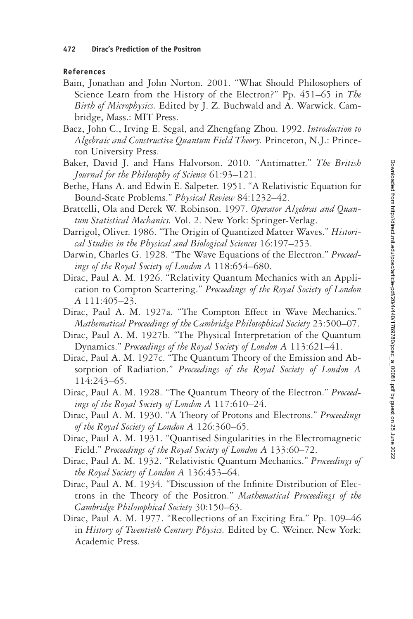#### **References**

- Bain, Jonathan and John Norton. 2001. "What Should Philosophers of Science Learn from the History of the Electron?" Pp. 451–65 in *The Birth of Microphysics.* Edited by J. Z. Buchwald and A. Warwick. Cambridge, Mass.: MIT Press.
- Baez, John C., Irving E. Segal, and Zhengfang Zhou. 1992. *Introduction to Algebraic and Constructive Quantum Field Theory.* Princeton, N.J.: Princeton University Press.
- Baker, David J. and Hans Halvorson. 2010. "Antimatter." *The British Journal for the Philosophy of Science* 61:93–121.
- Bethe, Hans A. and Edwin E. Salpeter. 1951. "A Relativistic Equation for Bound-State Problems." *Physical Review* 84:1232–42.
- Brattelli, Ola and Derek W. Robinson. 1997. *Operator Algebras and Quantum Statistical Mechanics.* Vol. 2. New York: Springer-Verlag.
- Darrigol, Oliver. 1986. "The Origin of Quantized Matter Waves." *Historical Studies in the Physical and Biological Sciences* 16:197–253.
- Darwin, Charles G. 1928. "The Wave Equations of the Electron." *Proceedings of the Royal Society of London A* 118:654–680.
- Dirac, Paul A. M. 1926. "Relativity Quantum Mechanics with an Application to Compton Scattering." *Proceedings of the Royal Society of London A* 111:405–23.
- Dirac, Paul A. M. 1927a. "The Compton Effect in Wave Mechanics." *Mathematical Proceedings of the Cambridge Philosophical Society* 23:500–07.
- Dirac, Paul A. M. 1927b. "The Physical Interpretation of the Quantum Dynamics." *Proceedings of the Royal Society of London A* 113:621–41.
- Dirac, Paul A. M. 1927c. "The Quantum Theory of the Emission and Absorption of Radiation." *Proceedings of the Royal Society of London A* 114:243–65.
- Dirac, Paul A. M. 1928. "The Quantum Theory of the Electron." *Proceedings of the Royal Society of London A* 117:610–24.
- Dirac, Paul A. M. 1930. "A Theory of Protons and Electrons." *Proceedings of the Royal Society of London A* 126:360–65.
- Dirac, Paul A. M. 1931. "Quantised Singularities in the Electromagnetic Field." *Proceedings of the Royal Society of London A* 133:60–72.
- Dirac, Paul A. M. 1932. "Relativistic Quantum Mechanics." *Proceedings of the Royal Society of London A* 136:453–64.
- Dirac, Paul A. M. 1934. "Discussion of the Infinite Distribution of Electrons in the Theory of the Positron." *Mathematical Proceedings of the Cambridge Philosophical Society* 30:150–63.
- Dirac, Paul A. M. 1977. "Recollections of an Exciting Era." Pp. 109–46 in *History of Twentieth Century Physics.* Edited by C. Weiner. New York: Academic Press.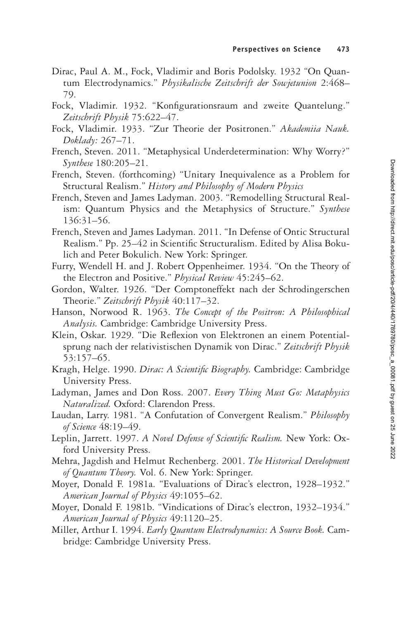- Dirac, Paul A. M., Fock, Vladimir and Boris Podolsky. 1932 "On Quantum Electrodynamics." *Physikalische Zeitschrift der Sowjetunion* 2:468– 79.
- Fock, Vladimir. 1932. "Konfigurationsraum and zweite Quantelung." *Zeitschrift Physik* 75:622–47.
- Fock, Vladimir. 1933. "Zur Theorie der Positronen." *Akademiia Nauk. Doklady:* 267–71.
- French, Steven. 2011. "Metaphysical Underdetermination: Why Worry?" *Synthese* 180:205–21.
- French, Steven. (forthcoming) "Unitary Inequivalence as a Problem for Structural Realism." *History and Philosophy of Modern Physics*
- French, Steven and James Ladyman. 2003. "Remodelling Structural Realism: Quantum Physics and the Metaphysics of Structure." *Synthese* 136:31–56.
- French, Steven and James Ladyman. 2011. "In Defense of Ontic Structural Realism." Pp. 25–42 in Scientific Structuralism. Edited by Alisa Bokulich and Peter Bokulich. New York: Springer.
- Furry, Wendell H. and J. Robert Oppenheimer. 1934. "On the Theory of the Electron and Positive." *Physical Review* 45:245–62.
- Gordon, Walter. 1926. "Der Comptoneffekt nach der Schrodingerschen Theorie." *Zeitschrift Physik* 40:117–32.
- Hanson, Norwood R. 1963. *The Concept of the Positron: A Philosophical Analysis.* Cambridge: Cambridge University Press.
- Klein, Oskar. 1929. "Die Reflexion von Elektronen an einem Potentialsprung nach der relativistischen Dynamik von Dirac." *Zeitschrift Physik* 53:157–65.
- Kragh, Helge. 1990. *Dirac: A Scientific Biography.* Cambridge: Cambridge University Press.
- Ladyman, James and Don Ross. 2007. *Every Thing Must Go: Metaphysics Naturalized.* Oxford: Clarendon Press.
- Laudan, Larry. 1981. "A Confutation of Convergent Realism." *Philosophy of Science* 48:19–49.
- Leplin, Jarrett. 1997. *A Novel Defense of Scientific Realism*. New York: Oxford University Press.
- Mehra, Jagdish and Helmut Rechenberg. 2001. *The Historical Development of Quantum Theory.* Vol. 6. New York: Springer.
- Moyer, Donald F. 1981a. "Evaluations of Dirac's electron, 1928–1932." *American Journal of Physics* 49:1055–62.
- Moyer, Donald F. 1981b. "Vindications of Dirac's electron, 1932–1934." *American Journal of Physics* 49:1120–25.
- Miller, Arthur I. 1994. *Early Quantum Electrodynamics: A Source Book.* Cambridge: Cambridge University Press.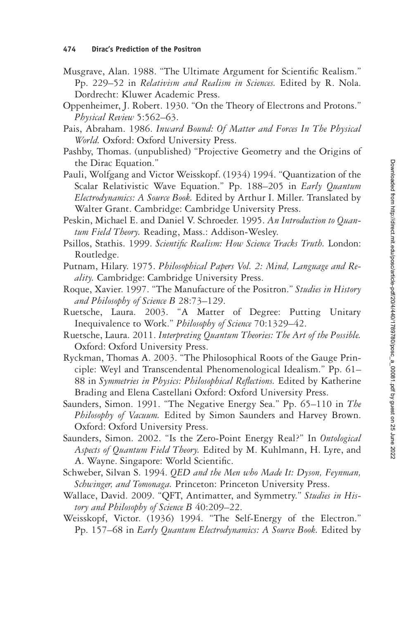- Musgrave, Alan. 1988. "The Ultimate Argument for Scientific Realism." Pp. 229–52 in *Relativism and Realism in Sciences.* Edited by R. Nola. Dordrecht: Kluwer Academic Press.
- Oppenheimer, J. Robert. 1930. "On the Theory of Electrons and Protons." *Physical Review* 5:562–63.
- Pais, Abraham. 1986. *Inward Bound: Of Matter and Forces In The Physical World.* Oxford: Oxford University Press.
- Pashby, Thomas. (unpublished) "Projective Geometry and the Origins of the Dirac Equation."
- Pauli, Wolfgang and Victor Weisskopf. (1934) 1994. "Quantization of the Scalar Relativistic Wave Equation." Pp. 188–205 in *Early Quantum Electrodynamics: A Source Book.* Edited by Arthur I. Miller. Translated by Walter Grant. Cambridge: Cambridge University Press.
- Peskin, Michael E. and Daniel V. Schroeder. 1995. *An Introduction to Quantum Field Theory.* Reading, Mass.: Addison-Wesley.
- Psillos, Stathis. 1999. *Scientific Realism: How Science Tracks Truth.* London: Routledge.
- Putnam, Hilary. 1975. *Philosophical Papers Vol. 2: Mind, Language and Reality.* Cambridge: Cambridge University Press.
- Roque, Xavier. 1997. "The Manufacture of the Positron." *Studies in History and Philosophy of Science B* 28:73–129.
- Ruetsche, Laura. 2003. "A Matter of Degree: Putting Unitary Inequivalence to Work." *Philosophy of Science* 70:1329–42.
- Ruetsche, Laura. 2011. *Interpreting Quantum Theories: The Art of the Possible.* Oxford: Oxford University Press.
- Ryckman, Thomas A. 2003. "The Philosophical Roots of the Gauge Principle: Weyl and Transcendental Phenomenological Idealism." Pp. 61– 88 in *Symmetries in Physics: Philosophical Reflections*. Edited by Katherine Brading and Elena Castellani Oxford: Oxford University Press.
- Saunders, Simon. 1991. "The Negative Energy Sea." Pp. 65–110 in *The Philosophy of Vacuum.* Edited by Simon Saunders and Harvey Brown. Oxford: Oxford University Press.
- Saunders, Simon. 2002. "Is the Zero-Point Energy Real?" In *Ontological Aspects of Quantum Field Theory.* Edited by M. Kuhlmann, H. Lyre, and A. Wayne. Singapore: World Scientific.
- Schweber, Silvan S. 1994. *QED and the Men who Made It: Dyson, Feynman, Schwinger, and Tomonaga.* Princeton: Princeton University Press.
- Wallace, David. 2009. "QFT, Antimatter, and Symmetry." *Studies in History and Philosophy of Science B* 40:209–22.
- Weisskopf, Victor. (1936) 1994. "The Self-Energy of the Electron." Pp. 157–68 in *Early Quantum Electrodynamics: A Source Book.* Edited by